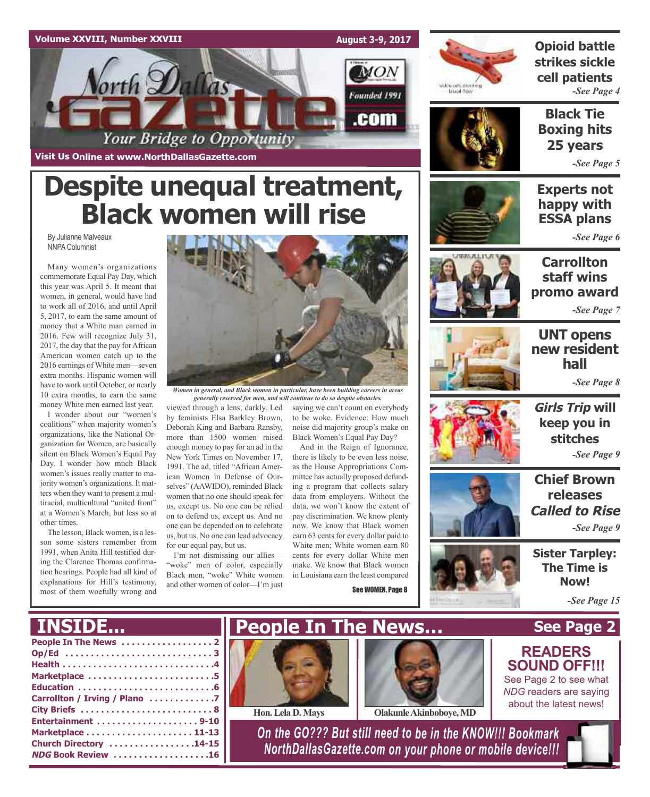### **Volume XXVIII, Number XXVIII**

**Visit Us Online at www.NorthDallasGazette.com**

orth Dallas

**August 3-9, 2017**

**MON** 

Founded 1991

.com



**Opioid battle strikes sickle cell patients** *-See Page 4*

**Black Tie Boxing hits 25 years**

*-See Page 5*

### **Experts not happy with ESSA plans**

*-See Page 6*

**Carrollton staff wins promo award**

*-See Page 7*



**Girls Trip will keep you in stitches** *-See Page 9*

**Chief Brown releases Called to Rise**

*-See Page 9*

**Sister Tarpley: The Time is Now!**



*Women in general, and Black women in particular, have been building careers in areas generally reserved for men, and will continue to do so despite obstacles.*

viewed through a lens, darkly. Led by feminists Elsa Barkley Brown, Deborah King and Barbara Ransby, more than 1500 women raised enough money to pay for an ad in the New York Times on November 17, 1991. The ad, titled "African American Women in Defense of Ourselves" (AAWIDO), reminded Black women that no one should speak for us, except us. No one can be relied on to defend us, except us. And no one can be depended on to celebrate us, but us. No one can lead advocacy for our equal pay, but us.

**Despite unequal treatment,**

Your Bridge to Opportunity

**Black women will rise**

I'm not dismissing our allies— "woke" men of color, especially Black men, "woke" White women and other women of color—I'm just

saying we can't count on everybody to be woke. Evidence: How much noise did majority group's make on Black Women's Equal Pay Day?

And in the Reign of Ignorance, there is likely to be even less noise, as the House Appropriations Committee has actually proposed defunding a program that collects salary data from employers. Without the data, we won't know the extent of pay discrimination. We know plenty now. We know that Black women earn 63 cents for every dollar paid to White men; White women earn 80 cents for every dollar White men make. We know that Black women in Louisiana earn the least compared

See WOMEN, Page 8



By Julianne Malveaux NNPA Columnist

Many women's organizations commemorate Equal Pay Day, which this year was April 5. It meant that women, in general, would have had to work all of 2016, and until April 5, 2017, to earn the same amount of money that a White man earned in 2016. Few will recognize July 31, 2017, the day that the pay forAfrican American women catch up to the 2016 earnings of White men—seven extra months. Hispanic women will have to work until October, or nearly 10 extra months, to earn the same money White men earned last year.

I wonder about our "women's coalitions" when majority women's organizations, like the National Organization for Women, are basically silent on Black Women's Equal Pay Day. I wonder how much Black women's issues really matter to majority women's organizations. It matters when they want to present a multiracial, multicultural "united front" at a Women's March, but less so at other times.

The lesson, Black women, is a lesson some sisters remember from 1991, when Anita Hill testified during the Clarence Thomas confirmation hearings. People had all kind of explanations for Hill's testimony, most of them woefully wrong and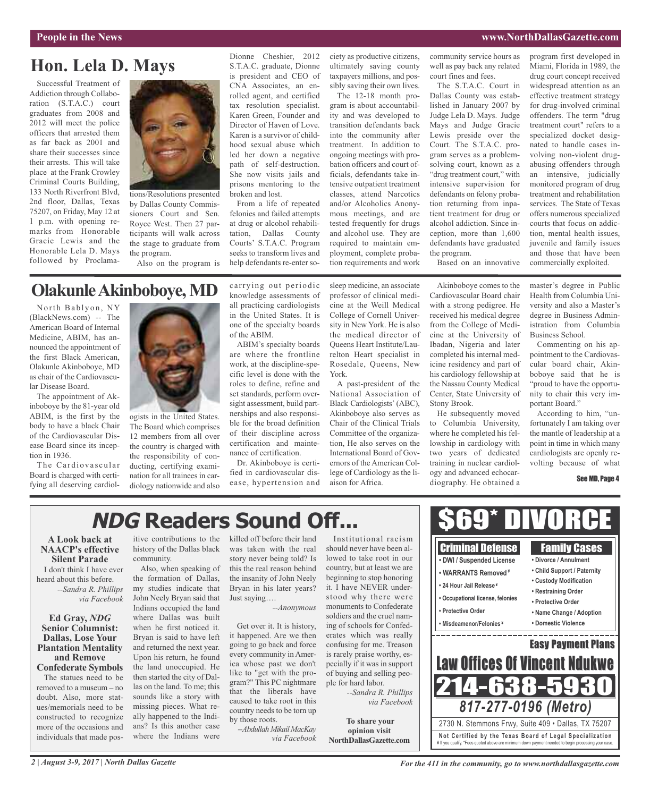### **People in the News www.NorthDallasGazette.com**

## **Hon. Lela D. Mays**

Successful Treatment of Addiction through Collaboration (S.T.A.C.) court graduates from 2008 and 2012 will meet the police officers that arrested them as far back as 2001 and share their successes since their arrests. This will take place at the Frank Crowley Criminal Courts Building, 133 North Riverfront Blvd, 2nd floor, Dallas, Texas 75207, on Friday, May 12 at 1 p.m. with opening remarks from Honorable Gracie Lewis and the Honorable Lela D. Mays followed by Proclama-



by Dallas County Commissioners Court and Sen. Royce West. Then 27 participants will walk across the stage to graduate from the program.

Also on the program is

Dionne Cheshier, 2012 S.T.A.C. graduate, Dionne is president and CEO of CNA Associates, an enrolled agent, and certified tax resolution specialist. Karen Green, Founder and Director of Haven of Love. Karen is a survivor of childhood sexual abuse which led her down a negative path of self-destruction. She now visits jails and prisons mentoring to the broken and lost.

From a life of repeated felonies and failed attempts at drug or alcohol rehabilitation, Dallas County Courts' S.T.A.C. Program seeks to transform lives and help defendants re-enter society as productive citizens, ultimately saving county taxpayers millions, and possibly saving their own lives. The 12-18 month program is about accountability and was developed to

transition defendants back into the community after treatment. In addition to ongoing meetings with probation officers and court officials, defendants take intensive outpatient treatment classes, attend Narcotics and/or Alcoholics Anonymous meetings, and are tested frequently for drugs and alcohol use. They are required to maintain employment, complete probation requirements and work

community service hours as well as pay back any related court fines and fees.

The S.T.A.C. Court in Dallas County was established in January 2007 by Judge Lela D. Mays. Judge Mays and Judge Gracie Lewis preside over the Court. The S.T.A.C. program serves as a problemsolving court, known as a "drug treatment court," with intensive supervision for defendants on felony probation returning from inpatient treatment for drug or alcohol addiction. Since inception, more than 1,600 defendants have graduated the program.

program first developed in Miami, Florida in 1989, the drug court concept received widespread attention as an effective treatment strategy for drug-involved criminal offenders. The term "drug treatment court" refers to a specialized docket designated to handle cases involving non-violent drugabusing offenders through an intensive, judicially monitored program of drug treatment and rehabilitation services. The State of Texas offers numerous specialized courts that focus on addiction, mental health issues, juvenile and family issues and those that have been commercially exploited.

Based on an innovative

# **OlakunleAkinboboye,MD**

North Bablyon, NY (BlackNews.com) -- The American Board of Internal Medicine, ABIM, has announced the appointment of the first Black American, Olakunle Akinboboye, MD as chair of the Cardiovascular Disease Board.

The appointment of Akinboboye by the 81-year old ABIM, is the first by the body to have a black Chair of the Cardiovascular Disease Board since its inception in 1936.

The Cardiovascular Board is charged with certifying all deserving cardiol-



ogists in the United States. The Board which comprises 12 members from all over the country is charged with the responsibility of conducting, certifying examination for all trainees in cardiology nationwide and also carrying out periodic knowledge assessments of all practicing cardiologists in the United States. It is one of the specialty boards of the ABIM.

ABIM's specialty boards are where the frontline work, at the discipline-specific level is done with the roles to define, refine and set standards, perform oversight assessment, build partnerships and also responsible for the broad definition of their discipline across certification and maintenance of certification.

Dr. Akinboboye is certified in cardiovascular disease, hypertension and sleep medicine, an associate professor of clinical medicine at the Weill Medical College of Cornell University in New York. He is also the medical director of Queens Heart Institute/Laurelton Heart specialist in Rosedale, Queens, New York.

A past-president of the National Association of Black Cardiologists' (ABC), Akinboboye also serves as Chair of the Clinical Trials Committee of the organization, He also serves on the International Board of Governors of the American College of Cardiology as the liaison for Africa.

Akinboboye comes to the Cardiovascular Board chair with a strong pedigree. He received his medical degree from the College of Medicine at the University of Ibadan, Nigeria and later completed his internal medicine residency and part of his cardiology fellowship at the Nassau County Medical Center, State University of Stony Brook.

He subsequently moved to Columbia University, where he completed his fellowship in cardiology with two years of dedicated training in nuclear cardiology and advanced echocardiography. He obtained a master's degree in Public Health from Columbia University and also a Master's degree in Business Administration from Columbia Business School.

Commenting on his appointment to the Cardiovascular board chair, Akinboboye said that he is "proud to have the opportunity to chair this very important Board."

According to him, "unfortunately I am taking over the mantle of leadership at a point in time in which many cardiologists are openly revolting because of what

See MD, Page 4

# **NDG Readers Sound Off...**

**A Look back at NAACP's effective Silent Parade** I don't think I have ever heard about this before. *--Sandra R. Phillips via Facebook*

### **Ed Gray,** *NDG* **Senior Columnist: Dallas, Lose Your Plantation Mentality and Remove Confederate Symbols** The statues need to be

removed to a museum – no doubt. Also, more statues/memorials need to be constructed to recognize more of the occasions and individuals that made pos-

itive contributions to the history of the Dallas black community.

Also, when speaking of the formation of Dallas, my studies indicate that John Neely Bryan said that Indians occupied the land where Dallas was built when he first noticed it. Bryan is said to have left and returned the next year. Upon his return, he found the land unoccupied. He then started the city of Dallas on the land. To me; this sounds like a story with missing pieces. What really happened to the Indians? Is this another case where the Indians were

killed off before their land was taken with the real story never being told? Is this the real reason behind the insanity of John Neely Bryan in his later years? Just saying….

### *--Anonymous*

Get over it. It is history, it happened. Are we then going to go back and force every community in America whose past we don't like to "get with the program?" This PC nightmare that the liberals have caused to take root in this country needs to be torn up by those roots.

*--Abdullah Mikail MacKay via Facebook*

Institutional racism should never have been allowed to take root in our country, but at least we are beginning to stop honoring it. I have NEVER understood why there were monuments to Confederate soldiers and the cruel naming of schools for Confederates which was really confusing for me. Treason is rarely praise worthy, especially if it was in support of buying and selling people for hard labor. *--Sandra R. Phillips*

*via Facebook*

**To share your opinion visit NorthDallasGazette.com**



**Not Ce rtified by the Te x a s Boa rd of Lega l Spe c ia l i za tion** ¥ If you qualify. \*Fees quoted above are minimum down payment needed to begin processing your case.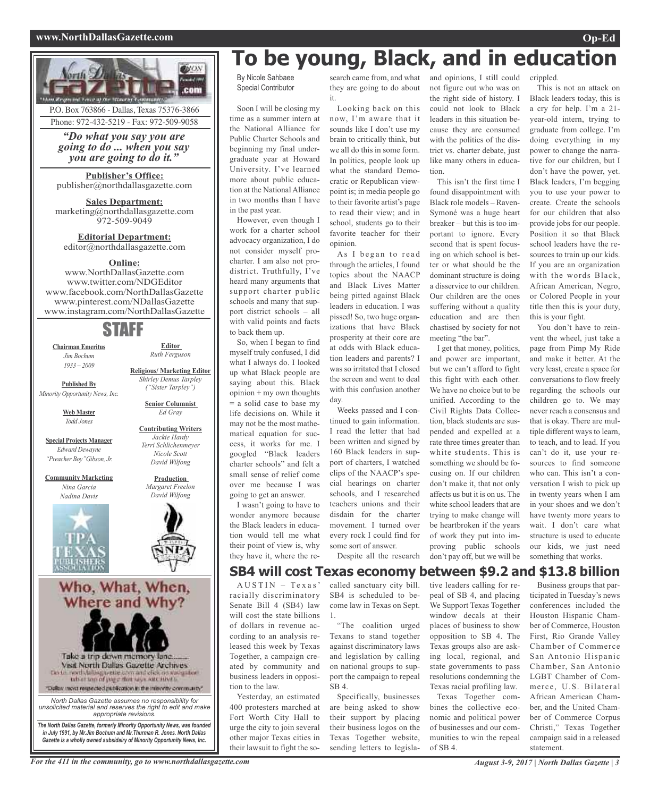### **www.NorthDallasGazette.com Op-Ed**



# **To be young, Black, and in education**

By Nicole Sahbaee Special Contributor

Soon I will be closing my time as a summer intern at the National Alliance for Public Charter Schools and beginning my final undergraduate year at Howard University. I've learned more about public education at the National Alliance in two months than I have in the past year.

However, even though I work for a charter school advocacy organization, I do not consider myself procharter. I am also not prodistrict. Truthfully, I've heard many arguments that support charter public schools and many that support district schools – all with valid points and facts to back them up.

So, when I began to find myself truly confused, I did what I always do. I looked up what Black people are saying about this. Black  $opinion + my own thoughts$ = a solid case to base my life decisions on. While it may not be the most mathematical equation for success, it works for me. I googled "Black leaders charter schools" and felt a small sense of relief come over me because I was going to get an answer.

I wasn't going to have to wonder anymore because the Black leaders in education would tell me what their point of view is, why they have it, where the re-

search came from, and what they are going to do about it.

Looking back on this now, I'm aware that it sounds like I don't use my brain to critically think, but we all do this in some form. In politics, people look up what the standard Democratic or Republican viewpoint is; in media people go to their favorite artist's page to read their view; and in school, students go to their favorite teacher for their opinion.

As I began to read through the articles, I found topics about the NAACP and Black Lives Matter being pitted against Black leaders in education. I was pissed! So, two huge organizations that have Black prosperity at their core are at odds with Black education leaders and parents? I was so irritated that I closed the screen and went to deal with this confusion another day.

Weeks passed and I continued to gain information. I read the letter that had been written and signed by 160 Black leaders in support of charters, I watched clips of the NAACP's special hearings on charter schools, and I researched teachers unions and their disdain for the charter movement. I turned over every rock I could find for some sort of answer.

and opinions, I still could not figure out who was on the right side of history. I could not look to Black leaders in this situation because they are consumed with the politics of the district vs. charter debate, just like many others in education.

This isn't the first time I found disappointment with Black role models – Raven-Symoné was a huge heart breaker – but this is too important to ignore. Every second that is spent focusing on which school is better or what should be the dominant structure is doing a disservice to our children. Our children are the ones suffering without a quality education and are then chastised by society for not meeting "the bar".

I get that money, politics, and power are important, but we can't afford to fight this fight with each other. We have no choice but to be unified. According to the Civil Rights Data Collection, black students are suspended and expelled at a rate three times greater than white students. This is something we should be focusing on. If our children don't make it, that not only affects us but it is on us. The white school leaders that are trying to make change will be heartbroken if the years of work they put into improving public schools don't pay off, but we will be Black leaders today, this is a cry for help. I'm a 21 year-old intern, trying to graduate from college. I'm doing everything in my power to change the narrative for our children, but I don't have the power, yet. Black leaders, I'm begging you to use your power to create. Create the schools for our children that also provide jobs for our people. Position it so that Black school leaders have the resources to train up our kids. If you are an organization with the words Black, African American, Negro, or Colored People in your title then this is your duty, this is your fight.

This is not an attack on

crippled.

You don't have to reinvent the wheel, just take a page from Pimp My Ride and make it better. At the very least, create a space for conversations to flow freely regarding the schools our children go to. We may never reach a consensus and that is okay. There are multiple different ways to learn, to teach, and to lead. If you can't do it, use your resources to find someone who can. This isn't a conversation I wish to pick up in twenty years when I am in your shoes and we don't have twenty more years to wait. I don't care what structure is used to educate our kids, we just need something that works.

Despite all the research

### **SB4 will cost Texas economy between \$9.2 and \$13.8 billion** tive leaders calling for re-

 $A US TIN - Texas'$ racially discriminatory Senate Bill 4 (SB4) law will cost the state billions of dollars in revenue according to an analysis released this week by Texas 1. "The coalition urged Texans to stand together against discriminatory laws and legislation by calling

Together, a campaign created by community and business leaders in opposition to the law. SB 4.

Yesterday, an estimated 400 protesters marched at Fort Worth City Hall to urge the city to join several other major Texas cities in their lawsuit to fight the so-

called sanctuary city bill. SB4 is scheduled to become law in Texas on Sept.

Specifically, businesses are being asked to show their support by placing their business logos on the Texas Together website, sending letters to legisla-

on national groups to support the campaign to repeal We Support Texas Together window decals at their places of business to show opposition to SB 4. The Texas groups also are asking local, regional, and state governments to pass resolutions condemning the Texas racial profiling law.

Texas Together combines the collective economic and political power of businesses and our communities to win the repeal of SB 4.

peal of SB 4, and placing

Business groups that participated in Tuesday's news conferences included the Houston Hispanic Chamber of Commerce, Houston First, Rio Grande Valley Chamber of Commerce San Antonio Hispanic Chamber, San Antonio LGBT Chamber of Commerce, U.S. Bilateral African American Chamber, and the United Chamber of Commerce Corpus Christi," Texas Together campaign said in a released statement.

For the 411 in the community, go to www.northdallasgazette.com August 3-9, 2017 | North Dallas Gazette | 3

*Gazette is a wholly owned subsidairy of Minority Opportunity News, Inc.*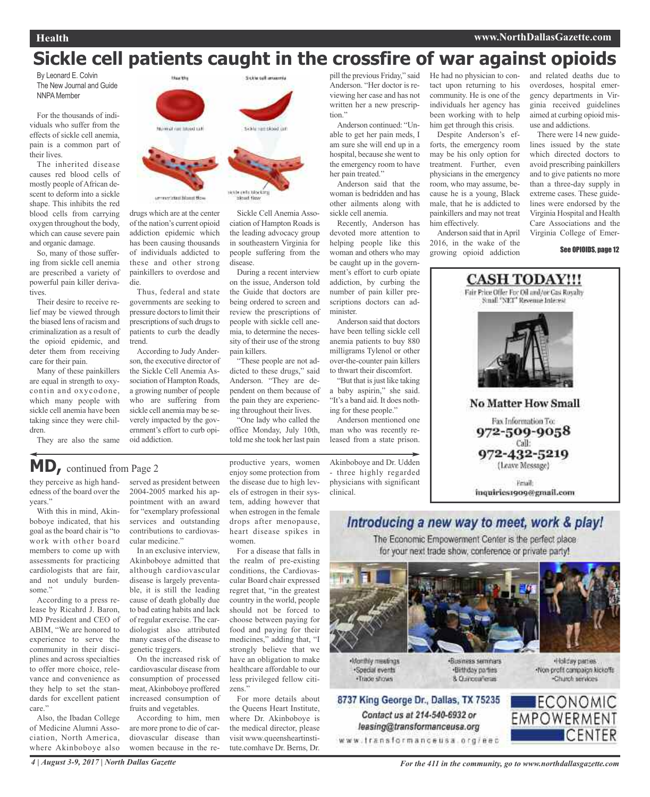# **Sickle cell patients caught in the crossfire of war against opioids**

By Leonard E. Colvin The New Journal and Guide **NNPA** Member

For the thousands of individuals who suffer from the effects of sickle cell anemia, pain is a common part of their lives.

The inherited disease causes red blood cells of mostly people ofAfrican descent to deform into a sickle shape. This inhibits the red blood cells from carrying oxygen throughout the body, which can cause severe pain and organic damage.

So, many of those suffering from sickle cell anemia are prescribed a variety of powerful pain killer derivatives.

Their desire to receive relief may be viewed through the biased lens of racism and criminalization as a result of the opioid epidemic, and deter them from receiving care for their pain.

Many of these painkillers are equal in strength to oxycontin and oxycodone, which many people with sickle cell anemia have been taking since they were children.

They are also the same



drugs which are at the center of the nation's current opioid addiction epidemic which has been causing thousands of individuals addicted to these and other strong painkillers to overdose and die.

Thus, federal and state governments are seeking to pressure doctors to limit their prescriptions of such drugs to patients to curb the deadly trend.

According to Judy Anderson, the executive director of the Sickle Cell Anemia Association of Hampton Roads, a growing number of people who are suffering from sickle cell anemia may be severely impacted by the government's effort to curb opioid addiction.



Sickle Cell Anemia Association of Hampton Roads is the leading advocacy group

in southeastern Virginia for people suffering from the disease. During a recent interview on the issue, Anderson told the Guide that doctors are

being ordered to screen and review the prescriptions of people with sickle cell anemia, to determine the necessity of their use of the strong pain killers.

"These people are not addicted to these drugs," said Anderson. "They are dependent on them because of the pain they are experiencing throughout their lives.

"One lady who called the office Monday, July 10th, told me she took her last pain

pill the previous Friday," said Anderson. "Her doctor is reviewing her case and has not written her a new prescription."

Anderson continued: "Unable to get her pain meds, I am sure she will end up in a hospital, because she went to the emergency room to have her pain treated."

Anderson said that the woman is bedridden and has other ailments along with sickle cell anemia.

Recently, Anderson has devoted more attention to helping people like this woman and others who may be caught up in the government's effort to curb opiate addiction, by curbing the number of pain killer prescriptions doctors can administer.

Anderson said that doctors have been telling sickle cell anemia patients to buy 880 milligrams Tylenol or other over-the-counter pain killers to thwart their discomfort.

"But that is just like taking" a baby aspirin," she said. "It's a band aid. It does nothing for these people."

Anderson mentioned one man who was recently released from a state prison.

Akinboboye and Dr. Udden three highly regarded physicians with significant clinical.

He had no physician to contact upon returning to his community. He is one of the individuals her agency has been working with to help him get through this crisis.

Despite Anderson's efforts, the emergency room may be his only option for treatment. Further, even physicians in the emergency room, who may assume, because he is a young, Black male, that he is addicted to painkillers and may not treat him effectively.

Anderson said that inApril 2016, in the wake of the growing opioid addiction and related deaths due to overdoses, hospital emergency departments in Virginia received guidelines aimed at curbing opioid misuse and addictions.

There were 14 new guidelines issued by the state which directed doctors to avoid prescribing painkillers and to give patients no more than a three-day supply in extreme cases. These guidelines were endorsed by the Virginia Hospital and Health Care Associations and the Virginia College of Emer-

#### See OPIOIDS, page 12



### Introducing a new way to meet, work & play!

The Economic Empowerment Center is the perfect place for your next trade show, conference or private party!



**Monthly meetings** ·Special events ·Trade shows





Holday parties -Non-profit compaign kickoffs Charch services



**MD,** continued from Page <sup>2</sup>

they perceive as high handedness of the board over the years."

With this in mind, Akinboboye indicated, that his goal as the board chair is "to work with other board members to come up with assessments for practicing cardiologists that are fair, and not unduly burdensome."

According to a press release by Ricahrd J. Baron, MD President and CEO of ABIM, "We are honored to experience to serve the community in their disciplines and across specialties to offer more choice, relevance and convenience as they help to set the standards for excellent patient care.'

Also, the Ibadan College of Medicine Alumni Association, North America, where Akinboboye also served as president between 2004-2005 marked his appointment with an award for "exemplary professional services and outstanding contributions to cardiovascular medicine."

In an exclusive interview, Akinboboye admitted that although cardiovascular disease is largely preventable, it is still the leading cause of death globally due to bad eating habits and lack of regular exercise. The cardiologist also attributed many cases of the disease to genetic triggers.

On the increased risk of cardiovascular disease from consumption of processed meat, Akinboboye proffered increased consumption of fruits and vegetables.

According to him, men are more prone to die of cardiovascular disease than women because in the re-

productive years, women enjoy some protection from the disease due to high levels of estrogen in their system, adding however that when estrogen in the female drops after menopause, heart disease spikes in women.

For a disease that falls in the realm of pre-existing conditions, the Cardiovascular Board chair expressed regret that, "in the greatest country in the world, people should not be forced to choose between paying for food and paying for their medicines," adding that, "I strongly believe that we have an obligation to make healthcare affordable to our less privileged fellow citizens."

For more details about the Queens Heart Institute, where Dr. Akinboboye is the medical director, please visit www.queensheartinstitute.comhave Dr. Berns, Dr. 8737 King George Dr., Dallas, TX 75235 Contact us at 214-540-6932 or leasing@transformanceusa.org

www.fransformanceusa.org/eec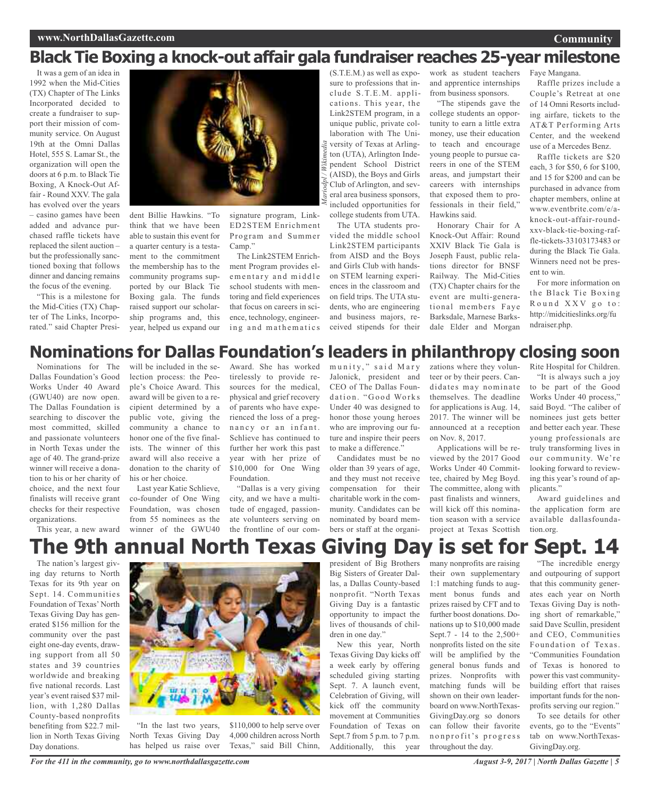### **www.NorthDallasGazette.com**

# **Black Tie Boxing a knock-out affair gala fundraiser reaches 25-year milestone**

*Mariodpl / Wikimedia*

It was a gem of an idea in 1992 when the Mid-Cities (TX) Chapter of The Links Incorporated decided to create a fundraiser to support their mission of community service. On August 19th at the Omni Dallas Hotel, 555 S. Lamar St., the organization will open the doors at 6 p.m. to Black Tie Boxing, A Knock-Out Affair - Round XXV. The gala has evolved over the years – casino games have been added and advance purchased raffle tickets have replaced the silent auction – but the professionally sanctioned boxing that follows dinner and dancing remains the focus of the evening.

"This is a milestone for the Mid-Cities (TX) Chapter of The Links, Incorporated." said Chapter Presi-



dent Billie Hawkins. "To think that we have been able to sustain this event for a quarter century is a testament to the commitment the membership has to the community programs supported by our Black Tie Boxing gala. The funds raised support our scholarship programs and, this year, helped us expand our

signature program, Link-ED2STEM Enrichment Program and Summer Camp<sup>?</sup>

The Link2STEM Enrichment Program provides elementary and middle school students with mentoring and field experiences that focus on careers in science, technology, engineering and mathematics

(S.T.E.M.) as well as exposure to professions that include S.T.E.M. applications. This year, the Link2STEM program, in a unique public, private collaboration with The University of Texas at Arlington (UTA), Arlington Independent School District (AISD), the Boys and Girls Club of Arlington, and several area business sponsors, included opportunities for college students from UTA. The UTA students pro-

vided the middle school Link2STEM participants from AISD and the Boys and Girls Club with handson STEM learning experiences in the classroom and on field trips. The UTA students, who are engineering and business majors, received stipends for their

work as student teachers and apprentice internships from business sponsors.

"The stipends gave the college students an opportunity to earn a little extra money, use their education to teach and encourage young people to pursue careers in one of the STEM areas, and jumpstart their careers with internships that exposed them to professionals in their field," Hawkins said.

Honorary Chair for A Knock-Out Affair: Round XXIV Black Tie Gala is Joseph Faust, public relations director for BNSF Railway. The Mid-Cities (TX) Chapter chairs for the event are multi-generational members Faye Barksdale, Marnese Barksdale Elder and Morgan

Faye Mangana.

Raffle prizes include a Couple's Retreat at one of 14 Omni Resorts including airfare, tickets to the AT&T Performing Arts Center, and the weekend use of a Mercedes Benz.

**Community**

Raffle tickets are \$20 each, 3 for \$50, 6 for \$100, and 15 for \$200 and can be purchased in advance from chapter members, online at www.eventbrite.com/e/aknock-out-affair-roundxxv-black-tie-boxing-raffle-tickets-33103173483 or during the Black Tie Gala. Winners need not be present to win.

For more information on the Black Tie Boxing Round XXV go to: http://midcitieslinks.org/fu ndraiser.php.

# **Nominations for Dallas Foundation's leaders in philanthropy closing soon**

Nominations for The Dallas Foundation's Good Works Under 40 Award (GWU40) are now open. The Dallas Foundation is searching to discover the most committed, skilled and passionate volunteers in North Texas under the age of 40. The grand-prize winner will receive a donation to his or her charity of choice, and the next four finalists will receive grant checks for their respective organizations.

This year, a new award

will be included in the selection process: the People's Choice Award. This award will be given to a recipient determined by a public vote, giving the community a chance to honor one of the five finalists. The winner of this award will also receive a donation to the charity of his or her choice.

Last year Katie Schlieve, co-founder of One Wing Foundation, was chosen from 55 nominees as the winner of the GWU40

Award. She has worked tirelessly to provide resources for the medical, physical and grief recovery of parents who have experienced the loss of a pregnancy or an infant. Schlieve has continued to further her work this past year with her prize of \$10,000 for One Wing Foundation.

"Dallas is a very giving city, and we have a multitude of engaged, passionate volunteers serving on the frontline of our community," said Mary Jalonick, president and CEO of The Dallas Foundation. "Good Works Under 40 was designed to honor those young heroes who are improving our future and inspire their peers to make a difference.'

Candidates must be no older than 39 years of age, and they must not receive compensation for their charitable work in the community. Candidates can be nominated by board members or staff at the organizations where they volunteer or by their peers. Candidates may nominate themselves. The deadline for applications is Aug. 14, 2017. The winner will be announced at a reception on Nov. 8, 2017.

Applications will be reviewed by the 2017 Good Works Under 40 Committee, chaired by Meg Boyd. The committee, along with past finalists and winners, will kick off this nomination season with a service project at Texas Scottish

Rite Hospital for Children. "It is always such a joy to be part of the Good Works Under 40 process," said Boyd. "The caliber of nominees just gets better and better each year. These young professionals are truly transforming lives in our community. We're looking forward to reviewing this year's round of applicants."

Award guidelines and the application form are available dallasfoundation.org.

# **The 9th annual North Texas Giving Day is set for Sept. 14**

The nation's largest giving day returns to North Texas for its 9th year on Sept. 14. Communities Foundation of Texas' North Texas Giving Day has generated \$156 million for the community over the past eight one-day events, drawing support from all 50 states and 39 countries worldwide and breaking five national records. Last year's event raised \$37 million, with 1,280 Dallas County-based nonprofits benefiting from \$22.7 million in North Texas Giving Day donations.



"In the last two years, North Texas Giving Day has helped us raise over

\$110,000 to help serve over 4,000 children across North Texas," said Bill Chinn, president of Big Brothers Big Sisters of Greater Dallas, a Dallas County-based nonprofit. "North Texas Giving Day is a fantastic opportunity to impact the lives of thousands of children in one day."

New this year, North Texas Giving Day kicks off a week early by offering scheduled giving starting Sept. 7. A launch event, Celebration of Giving, will kick off the community movement at Communities Foundation of Texas on Sept.7 from 5 p.m. to 7 p.m. Additionally, this year

many nonprofits are raising their own supplementary 1:1 matching funds to augment bonus funds and prizes raised by CFT and to further boost donations. Donations up to \$10,000 made Sept.7 - 14 to the 2,500+ nonprofits listed on the site will be amplified by the general bonus funds and prizes. Nonprofits with matching funds will be shown on their own leaderboard on www.NorthTexas-GivingDay.org so donors can follow their favorite n on profit's progress throughout the day.

"The incredible energy and outpouring of support that this community generates each year on North Texas Giving Day is nothing short of remarkable," said Dave Scullin, president and CEO, Communities Foundation of Texas. "Communities Foundation of Texas is honored to power this vast communitybuilding effort that raises important funds for the nonprofits serving our region."

To see details for other events, go to the "Events" tab on www.NorthTexas-GivingDay.org.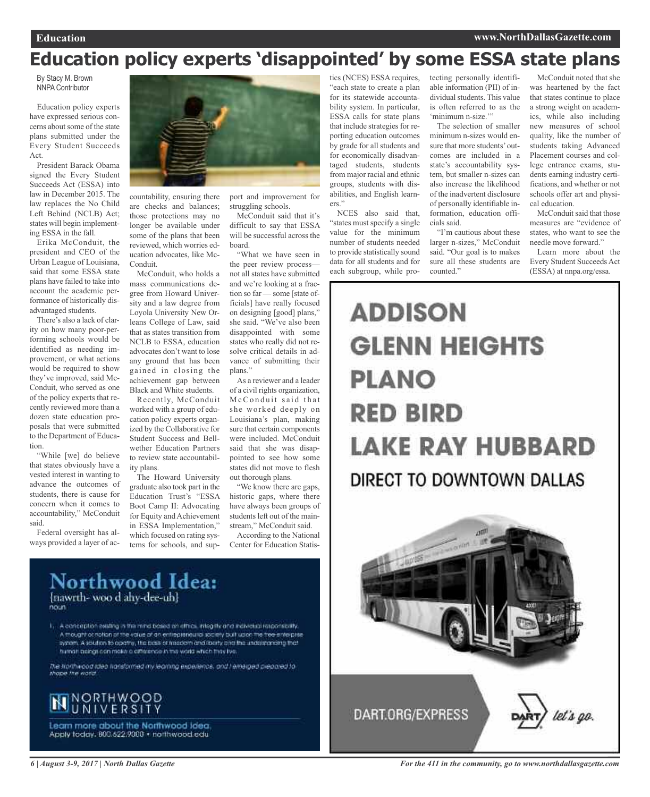# **Education policy experts 'disappointed' by some ESSA state plans**

By Stacy M. Brown NNPA Contributor

Education policy experts have expressed serious concerns about some of the state plans submitted under the Every Student Succeeds Act.

President Barack Obama signed the Every Student Succeeds Act (ESSA) into law in December 2015. The law replaces the No Child Left Behind (NCLB) Act; states will begin implementing ESSA in the fall.

Erika McConduit, the president and CEO of the Urban League of Louisiana, said that some ESSA state plans have failed to take into account the academic performance of historically disadvantaged students.

There's also a lack of clarity on how many poor-performing schools would be identified as needing improvement, or what actions would be required to show they've improved, said Mc-Conduit, who served as one of the policy experts that recently reviewed more than a dozen state education proposals that were submitted to the Department of Education.

"While [we] do believe that states obviously have a vested interest in wanting to advance the outcomes of students, there is cause for concern when it comes to accountability," McConduit said.

Federal oversight has always provided a layer of ac-



countability, ensuring there are checks and balances; those protections may no longer be available under some of the plans that been reviewed, which worries education advocates, like Mc-Conduit.

McConduit, who holds a mass communications degree from Howard University and a law degree from Loyola University New Orleans College of Law, said that as states transition from NCLB to ESSA, education advocates don't want to lose any ground that has been gained in closing the achievement gap between Black and White students.

Recently, McConduit worked with a group of education policy experts organized by the Collaborative for Student Success and Bellwether Education Partners to review state accountability plans.

The Howard University graduate also took part in the Education Trust's "ESSA Boot Camp II: Advocating for Equity and Achievement in ESSA Implementation," which focused on rating systems for schools, and sup-

1. A conception existing in the raind bosed on ethics, integrity and individual responsibility. A thought or notion of the value of an entrepreneural society built upon the tree-enterprise whem. A solution to operty, the basis of headom and loarly one the understanding that

The Horthweod Ideo Indisformed my learning experience, and I emerged prepared to:<br>those the world

Northwood Idea:

humait paings con make a afference in the world which they live.

[nawrth-woo d ahy-dee-uh]

port and improvement for struggling schools.

McConduit said that it's difficult to say that ESSA will be successful across the board.

"What we have seen in the peer review process not all states have submitted and we're looking at a fraction so far — some [state officials] have really focused on designing [good] plans," she said. "We've also been disappointed with some states who really did not resolve critical details in advance of submitting their plans."

As a reviewer and a leader of a civil rights organization, McConduit said that she worked deeply on Louisiana's plan, making sure that certain components were included. McConduit said that she was disappointed to see how some states did not move to flesh out thorough plans.

"We know there are gaps, historic gaps, where there have always been groups of students left out of the mainstream," McConduit said.

According to the National Center for Education Statistics (NCES) ESSA requires, "each state to create a plan for its statewide accountability system. In particular, ESSA calls for state plans that include strategies for reporting education outcomes by grade for all students and for economically disadvantaged students, students from major racial and ethnic groups, students with disabilities, and English learners."

NCES also said that, "states must specify a single value for the minimum number of students needed to provide statistically sound data for all students and for each subgroup, while protecting personally identifiable information (PII) of individual students. This value is often referred to as the 'minimum n-size."

The selection of smaller minimum n-sizes would ensure that more students'outcomes are included in a state's accountability system, but smaller n-sizes can also increase the likelihood of the inadvertent disclosure of personally identifiable information, education officials said.

"I'm cautious about these larger n-sizes," McConduit said. "Our goal is to makes sure all these students are counted."

McConduit noted that she was heartened by the fact that states continue to place a strong weight on academics, while also including new measures of school quality, like the number of students taking Advanced Placement courses and college entrance exams, students earning industry certifications, and whether or not schools offer art and physical education.

McConduit said that those measures are "evidence of states, who want to see the needle move forward."

Learn more about the Every Student SucceedsAct (ESSA) at nnpa.org/essa.

# **ADDISON GLENN HEIGHTS PLANO RED BIRD LAKE RAY HUBBARD** DIRECT TO DOWNTOWN DALLAS



**NORTHWOOD** 

Learn more about the Northwood idea. Apply foday, 800.622.9000 · northwood.edu

*For the 411 in the community, go to www.northdallasgazette.com*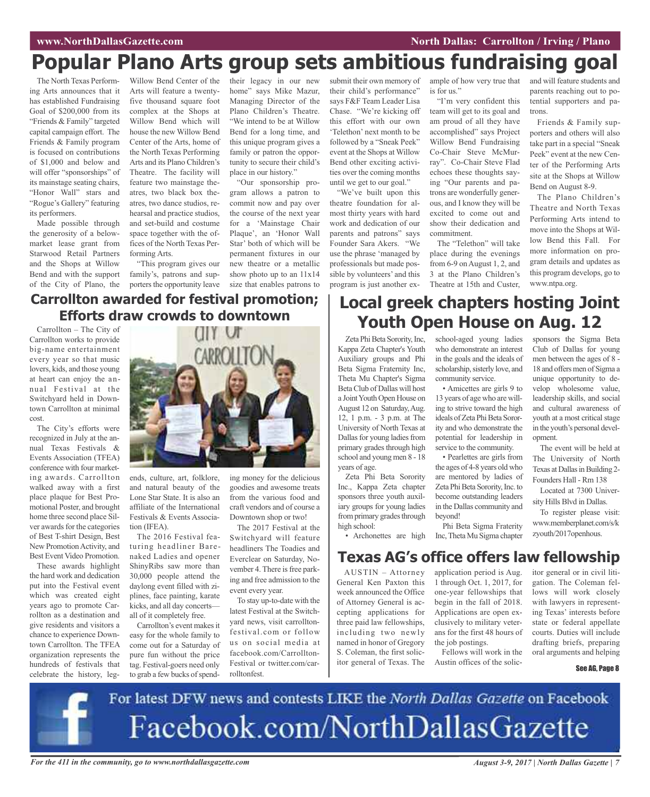# **Popular Plano Arts group sets ambitious fundraising goal**

The North Texas Performing Arts announces that it has established Fundraising Goal of \$200,000 from its "Friends & Family" targeted capital campaign effort. The Friends & Family program is focused on contributions of \$1,000 and below and will offer "sponsorships" of its mainstage seating chairs, "Honor Wall" stars and "Rogue's Gallery" featuring its performers.

Made possible through the generosity of a belowmarket lease grant from Starwood Retail Partners and the Shops at Willow Bend and with the support of the City of Plano, the Willow Bend Center of the Arts will feature a twentyfive thousand square foot complex at the Shops at Willow Bend which will house the new Willow Bend Center of the Arts, home of the North Texas Performing Arts and its Plano Children's Theatre. The facility will feature two mainstage theatres, two black box theatres, two dance studios, rehearsal and practice studios, and set-build and costume space together with the offices of the North Texas Performing Arts.

"This program gives our family's, patrons and supporters the opportunity leave their legacy in our new home" says Mike Mazur, Managing Director of the Plano Children's Theatre. "We intend to be at Willow Bend for a long time, and this unique program gives a family or patron the opportunity to secure their child's place in our history."

"Our sponsorship program allows a patron to commit now and pay over the course of the next year for a 'Mainstage Chair Plaque', an 'Honor Wall Star' both of which will be permanent fixtures in our new theatre or a metallic show photo up to an 11x14 size that enables patrons to

submit their own memory of their child's performance" says F&F Team Leader Lisa Chase. "We're kicking off this effort with our own 'Telethon' next month to be followed by a "Sneak Peek" event at the Shops at Willow Bend other exciting activities over the coming months until we get to our goal."

"We've built upon this theatre foundation for almost thirty years with hard work and dedication of our parents and patrons" says Founder Sara Akers. "We use the phrase 'managed by professionals but made possible by volunteers' and this program is just another example of how very true that is for us."

"I'm very confident this team will get to its goal and am proud of all they have accomplished" says Project Willow Bend Fundraising Co-Chair Steve McMurray". Co-Chair Steve Flad echoes these thoughts saying "Our parents and patrons are wonderfully generous, and I know they will be excited to come out and show their dedication and commitment.

The "Telethon" will take place during the evenings from 6-9 on August 1, 2, and 3 at the Plano Children's Theatre at 15th and Custer,

and will feature students and parents reaching out to potential supporters and patrons.

Friends & Family supporters and others will also take part in a special "Sneak Peek" event at the new Center of the Performing Arts site at the Shops at Willow Bend on August 8-9.

The Plano Children's Theatre and North Texas Performing Arts intend to move into the Shops at Willow Bend this Fall. For more information on program details and updates as this program develops, go to www.ntpa.org.

### **Carrollton awarded for festival promotion; Efforts draw crowds to downtown**

Carrollton – The City of Carrollton works to provide big-name entertainment every year so that music lovers, kids, and those young at heart can enjoy the annual Festival at the Switchyard held in Downtown Carrollton at minimal cost.

The City's efforts were recognized in July at the annual Texas Festivals & Events Association (TFEA) conference with four marketing awards. Carrollton walked away with a first place plaque for Best Promotional Poster, and brought home three second place Silver awards for the categories of Best T-shirt Design, Best New PromotionActivity, and Best Event Video Promotion.

These awards highlight the hard work and dedication put into the Festival event which was created eight years ago to promote Carrollton as a destination and give residents and visitors a chance to experience Downtown Carrollton. The TFEA organization represents the hundreds of festivals that celebrate the history, leg-



ends, culture, art, folklore, and natural beauty of the Lone Star State. It is also an affiliate of the International Festivals & Events Association (IFEA).

The 2016 Festival featuring headliner Barenaked Ladies and opener ShinyRibs saw more than 30,000 people attend the daylong event filled with ziplines, face painting, karate kicks, and all day concerts all of it completely free.

Carrollton's event makes it easy for the whole family to come out for a Saturday of pure fun without the price tag. Festival-goers need only to grab a few bucks of spending money for the delicious goodies and awesome treats from the various food and craft vendors and of course a Downtown shop or two!

The 2017 Festival at the Switchyard will feature headliners The Toadies and Everclear on Saturday, November 4. There is free parking and free admission to the event every year.

To stay up-to-date with the latest Festival at the Switchyard news, visit carrolltonfestival.com or follow us on social media at facebook.com/Carrollton-Festival or twitter.com/carrolltonfest.

# **Local greek chapters hosting Joint Youth Open House on Aug. 12**

school-aged young ladies who demonstrate an interest in the goals and the ideals of scholarship, sisterly love, and

• Amicettes are girls 9 to 13 years of age who are willing to strive toward the high ideals of Zeta Phi Beta Sorority and who demonstrate the potential for leadership in service to the community. • Pearlettes are girls from the ages of 4-8 years old who are mentored by ladies of Zeta Phi Beta Sorority, Inc. to become outstanding leaders in the Dallas community and

community service.

beyond!

Zeta Phi Beta Sorority, Inc, Kappa Zeta Chapter's Youth Auxiliary groups and Phi Beta Sigma Fraternity Inc, Theta Mu Chapter's Sigma BetaClub of Dallas will host a JointYouth Open House on August 12 on Saturday,Aug. 12, 1 p.m. - 3 p.m. at The University of North Texas at Dallas for young ladies from primary grades through high school and young men 8 - 18 years of age.

Zeta Phi Beta Sorority Inc., Kappa Zeta chapter sponsors three youth auxiliary groups for young ladies from primary grades through high school:

• Archonettes are high

AUSTIN – Attorney General Ken Paxton this week announced the Office of Attorney General is accepting applications for three paid law fellowships, including two newly named in honor of Gregory S. Coleman, the first solicitor general of Texas. The **Texas AG's office offers law fellowship**

application period is Aug. 1 through Oct. 1, 2017, for one-year fellowships that begin in the fall of 2018. Applications are open exclusively to military veterans for the first 48 hours of the job postings.

Phi Beta Sigma Fraterity Inc,Theta Mu Sigma chapter

Fellows will work in the Austin offices of the solic-

sponsors the Sigma Beta Club of Dallas for young men between the ages of 8 - 18 and offers men of Sigma a unique opportunity to develop wholesome value, leadership skills, and social and cultural awareness of youth at a most critical stage in the youth's personal development.

The event will be held at The University of North Texas at Dallas in Building 2-Founders Hall - Rm 138

Located at 7300 University Hills Blvd in Dallas.

To register please visit: www.memberplanet.com/s/k zyouth/2017openhous.

itor general or in civil litigation. The Coleman fellows will work closely with lawyers in representing Texas' interests before state or federal appellate courts. Duties will include drafting briefs, preparing oral arguments and helping

### See AG, Page 8

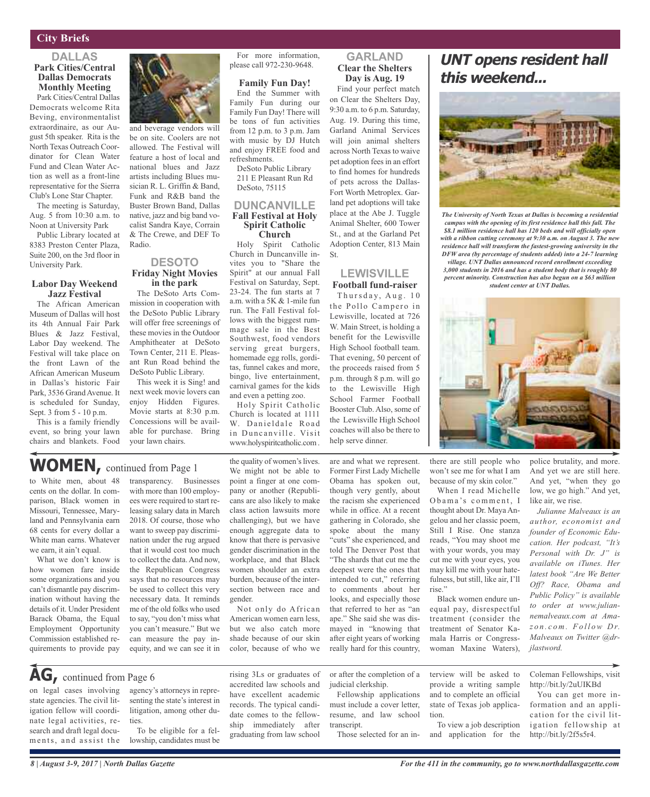### **City Briefs**

### **DALLAS Park Cities/Central Dallas Democrats Monthly Meeting**

Park Cities/Central Dallas Democrats welcome Rita Beving, environmentalist extraordinaire, as our August 5th speaker. Rita is the North Texas Outreach Coordinator for Clean Water Fund and Clean Water Action as well as a front-line representative for the Sierra Club's Lone Star Chapter.

The meeting is Saturday, Aug. 5 from 10:30 a.m. to Noon at University Park

Public Library located at 8383 Preston Center Plaza, Suite 200, on the 3rd floor in University Park.

### **Labor Day Weekend Jazz Festival**

The African American Museum of Dallas will host its 4th Annual Fair Park Blues & Jazz Festival, Labor Day weekend. The Festival will take place on the front Lawn of the African American Museum in Dallas's historic Fair Park, 3536 Grand Avenue. It is scheduled for Sunday, Sept. 3 from 5 - 10 p.m.

This is a family friendly event, so bring your lawn chairs and blankets. Food

land and Pennsylvania earn 68 cents for every dollar a White man earns. Whatever we earn, it ain't equal.

What we don't know is how women fare inside some organizations and you can't dismantle pay discrimination without having the details of it. Under President Barack Obama, the Equal Employment Opportunity Commission established requirements to provide pay

and beverage vendors will be on site. Coolers are not allowed. The Festival will feature a host of local and national blues and Jazz artists including Blues musician R. L. Griffin & Band, Funk and R&B band the Buster Brown Band, Dallas native, jazz and big band vocalist Sandra Kaye, Corrain & The Crewe, and DEF To Radio.

### **DESOTO Friday Night Movies in the park**

The DeSoto Arts Commission in cooperation with the DeSoto Public Library will offer free screenings of these movies in the Outdoor Amphitheater at DeSoto Town Center, 211 E. Pleasant Run Road behind the DeSoto Public Library.

This week it is Sing! and next week movie lovers can enjoy Hidden Figures. Movie starts at 8:30 p.m. Concessions will be available for purchase. Bring your lawn chairs.

For more information, please call 972-230-9648.

### **Family Fun Day!**

End the Summer with Family Fun during our Family Fun Day! There will be tons of fun activities from 12 p.m. to 3 p.m. Jam with music by DJ Hutch and enjoy FREE food and refreshments.

DeSoto Public Library 211 E Pleasant Run Rd DeSoto, 75115

### **DUNCANVILLE Fall Festival at Holy Spirit Catholic Church**

St.

Holy Spirit Catholic Church in Duncanville invites you to "Share the Spirit" at our annual Fall Festival on Saturday, Sept. 23-24. The fun starts at 7 a.m. with a 5K & 1-mile fun run. The Fall Festival follows with the biggest rummage sale in the Best Southwest, food vendors serving great burgers, homemade egg rolls, gorditas, funnel cakes and more, bingo, live entertainment, carnival games for the kids and even a petting zoo.

Holy Spirit Catholic Church is located at 1111 W. Danieldale Road in Duncanville. Visit www.holyspiritcatholic.com .

### the quality of women's lives. We might not be able to point a finger at one company or another (Republicans are also likely to make class action lawsuits more challenging), but we have enough aggregate data to know that there is pervasive gender discrimination in the workplace, and that Black women shoulder an extra burden, because of the inter-

gender. Not only do African American women earn less, but we also catch more shade because of our skin color, because of who we

section between race and

are and what we represent. Former First Lady Michelle Obama has spoken out, though very gently, about the racism she experienced while in office. At a recent gathering in Colorado, she spoke about the many "cuts" she experienced, and told The Denver Post that the Lewisville High School coaches will also be there to help serve dinner.

**GARLAND Clear the Shelters Day is Aug. 19** Find your perfect match on Clear the Shelters Day, 9:30 a.m. to 6 p.m. Saturday, Aug. 19. During this time, Garland Animal Services will join animal shelters across North Texas to waive pet adoption fees in an effort to find homes for hundreds of pets across the Dallas-Fort Worth Metroplex. Garland pet adoptions will take place at the Abe J. Tuggle Animal Shelter, 600 Tower St., and at the Garland Pet Adoption Center, 813 Main

**LEWISVILLE Football fund-raiser** Thursday, Aug. 10 the Pollo Campero in Lewisville, located at 726 W. Main Street, is holding a benefit for the Lewisville High School football team. That evening, 50 percent of the proceeds raised from 5 p.m. through 8 p.m. will go to the Lewisville High School Farmer Football Booster Club. Also, some of

"The shards that cut me the deepest were the ones that intended to cut," referring to comments about her looks, and especially those that referred to her as "an ape." She said she was dismayed in "knowing that after eight years of working really hard for this country,

## **UNT opens resident hall this weekend...**



*The University of North Texas at Dallas is becoming a residential campus with the opening of its first residence hall this fall. The \$8.1 million residence hall has 120 beds and will officially open with a ribbon cutting ceremony at 9:30 a.m. on August 3. The new residence hall will transform the fastest-growing university in the DFW area (by percentage of students added) into a 24-7 learning*

*village. UNT Dallas announced record enrollment exceeding 3,000 students in 2016 and has a student body that is roughly 80 percent minority. Construction has also begun on a \$63 million student center at UNT Dallas.*



there are still people who won't see me for what I am because of my skin color."

When I read Michelle Obama's comment, I thought about Dr. Maya Angelou and her classic poem, Still I Rise. One stanza reads, "You may shoot me with your words, you may cut me with your eyes, you may kill me with your hatefulness, but still, like air, I'll rise."

Black women endure unequal pay, disrespectful treatment (consider the treatment of Senator Kamala Harris or Congresswoman Maxine Waters),

police brutality, and more. And yet we are still here. And yet, "when they go low, we go high." And yet, like air, we rise.

*Julianne Malveaux is an author, economist and founder of Economic Education. Her podcast, "It's Personal with Dr. J" is available on iTunes. Her latest book "Are We Better Off? Race, Obama and Public Policy" is available to order at www.juliannemalveaux.com at Amaz o n . c o m . Fo l l ow D r. Malveaux on Twitter @drjlastword.*

## **AG,** continued from Page <sup>6</sup>

on legal cases involving state agencies. The civil litigation fellow will coordinate legal activities, research and draft legal documents, and assist the

agency's attorneys in representing the state's interest in litigation, among other duties.

To be eligible for a fellowship, candidates must be rising 3Ls or graduates of accredited law schools and have excellent academic records. The typical candidate comes to the fellowship immediately after graduating from law school

or after the completion of a judicial clerkship.

Fellowship applications must include a cover letter, resume, and law school transcript.

Those selected for an in-

terview will be asked to provide a writing sample and to complete an official state of Texas job application.

To view a job description and application for the

Coleman Fellowships, visit http://bit.ly/2uUIKBd

You can get more information and an application for the civil litigation fellowship at http://bit.ly/2f5s5r4.

#### to White men, about 48 cents on the dollar. In comparison, Black women in Missouri, Tennessee, Marytransparency. Businesses with more than 100 employees were required to start re-**WOMEN,** continued from Page <sup>1</sup>

leasing salary data in March 2018. Of course, those who want to sweep pay discrimination under the rug argued that it would cost too much to collect the data. And now, the Republican Congress says that no resources may be used to collect this very necessary data. It reminds me of the old folks who used to say, "you don't miss what you can't measure." But we can measure the pay inequity, and we can see it in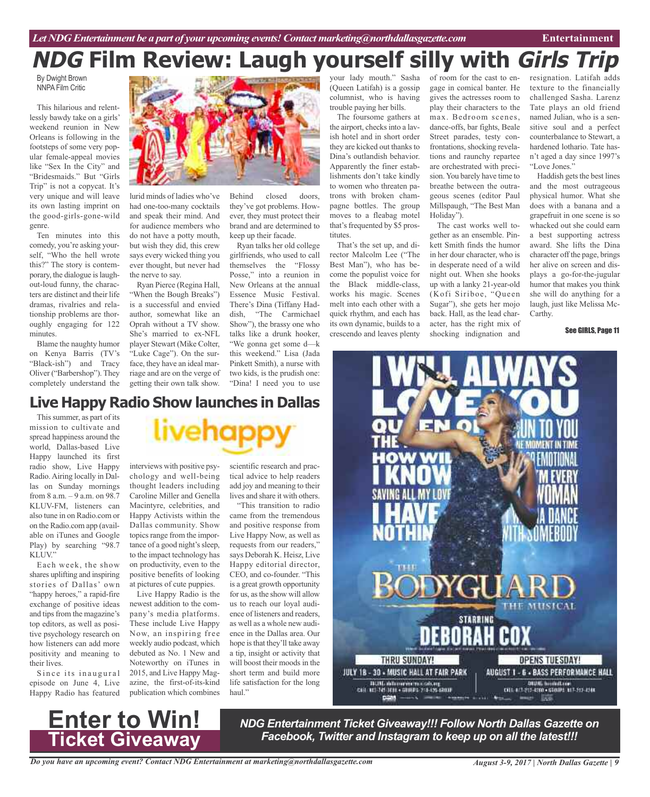# **NDG Film Review: Laugh yourself silly with Girls Trip**

By Dwight Brown NNPA Film Critic

This hilarious and relentlessly bawdy take on a girls' weekend reunion in New Orleans is following in the footsteps of some very popular female-appeal movies like "Sex In the City" and "Bridesmaids." But "Girls Trip" is not a copycat. It's very unique and will leave its own lasting imprint on the good-girls-gone-wild genre.

Ten minutes into this comedy, you're asking yourself, "Who the hell wrote this?" The story is contemporary, the dialogue islaughout-loud funny, the characters are distinct and their life dramas, rivalries and relationship problems are thoroughly engaging for 122 minutes.

Blame the naughty humor on Kenya Barris (TV's "Black-ish") and Tracy Oliver ("Barbershop"). They completely understand the



lurid minds of ladies who've had one-too-many cocktails and speak their mind. And for audience members who do not have a potty mouth, but wish they did, this crew says every wicked thing you ever thought, but never had the nerve to say.

Ryan Pierce (Regina Hall, "When the Bough Breaks") is a successful and envied author, somewhat like an Oprah without a TV show. She's married to ex-NFL player Stewart (Mike Colter, "Luke Cage"). On the surface, they have an ideal marriage and are on the verge of getting their own talk show.

Behind closed doors, they've got problems. However, they must protect their brand and are determined to keep up their facade.

Ryan talks her old college girlfriends, who used to call themselves the "Flossy Posse," into a reunion in New Orleans at the annual Essence Music Festival. There's Dina (Tiffany Haddish, "The Carmichael Show"), the brassy one who talks like a drunk hooker, "We gonna get some d—k this weekend." Lisa (Jada Pinkett Smith), a nurse with two kids, is the prudish one: "Dina! I need you to use

your lady mouth." Sasha (Queen Latifah) is a gossip columnist, who is having trouble paying her bills.

The foursome gathers at the airport, checks into a lavish hotel and in short order they are kicked out thanks to Dina's outlandish behavior. Apparently the finer establishments don't take kindly to women who threaten patrons with broken champagne bottles. The group moves to a fleabag motel that's frequented by \$5 prostitutes.

That's the set up, and director Malcolm Lee ("The Best Man"), who has become the populist voice for the Black middle-class, works his magic. Scenes melt into each other with a quick rhythm, and each has its own dynamic, builds to a crescendo and leaves plenty

of room for the cast to engage in comical banter. He gives the actresses room to play their characters to the max. Bedroom scenes, dance-offs, bar fights, Beale Street parades, testy confrontations, shocking revelations and raunchy repartee are orchestrated with precision. You barely have time to breathe between the outrageous scenes (editor Paul Millspaugh, "The Best Man Holiday").

The cast works well together as an ensemble. Pinkett Smith finds the humor in her dour character, who is in desperate need of a wild night out. When she hooks up with a lanky 21-year-old (Kofi Siriboe, "Queen Sugar"), she gets her mojo back. Hall, as the lead character, has the right mix of shocking indignation and

resignation. Latifah adds texture to the financially challenged Sasha. Larenz Tate plays an old friend named Julian, who is a sensitive soul and a perfect counterbalance to Stewart, a hardened lothario. Tate hasn't aged a day since 1997's "Love Jones."

Haddish gets the best lines and the most outrageous physical humor. What she does with a banana and a grapefruit in one scene is so whacked out she could earn a best supporting actress award. She lifts the Dina character off the page, brings her alive on screen and displays a go-for-the-jugular humor that makes you think she will do anything for a laugh, just like Melissa Mc-Carthy.

### See GIRLS, Page 11



### This summer, as part of its **Live Happy Radio Show launches in Dallas**

mission to cultivate and spread happiness around the world, Dallas-based Live Happy launched its first radio show, Live Happy Radio.Airing locally in Dallas on Sunday mornings from 8 a.m. – 9 a.m. on 98.7 KLUV-FM, listeners can also tune in on Radio.com or on the Radio.com app (available on iTunes and Google Play) by searching "98.7 KLUV."

Each week, the show shares uplifting and inspiring stories of Dallas' own "happy heroes," a rapid-fire exchange of positive ideas and tips from the magazine's top editors, as well as positive psychology research on how listeners can add more positivity and meaning to their lives.

Since its inaugural episode on June 4, Live Happy Radio has featured

**Enter to Win!**

**Ticket Giveaway**



interviews with positive psychology and well-being thought leaders including Caroline Miller and Genella Macintyre, celebrities, and Happy Activists within the Dallas community. Show topics range from the importance of a good night's sleep, to the impact technology has on productivity, even to the positive benefits of looking at pictures of cute puppies.

Live Happy Radio is the newest addition to the company's media platforms. These include Live Happy Now, an inspiring free weekly audio podcast, which debuted as No. 1 New and Noteworthy on iTunes in 2015, and Live Happy Magazine, the first-of-its-kind publication which combines scientific research and practical advice to help readers add joy and meaning to their lives and share it with others.

"This transition to radio came from the tremendous and positive response from Live Happy Now, as well as requests from our readers," says Deborah K. Heisz, Live Happy editorial director, CEO, and co-founder. "This is a great growth opportunity for us, asthe show will allow us to reach our loyal audience of listeners and readers, as well as a whole new audience in the Dallas area. Our hope is that they'll take away a tip, insight or activity that will boost their moods in the short term and build more life satisfaction for the long haul."

> *NDG Entertainment Ticket Giveaway!!! Follow North Dallas Gazette on Facebook, Twitter and Instagram to keep up on all the latest!!!*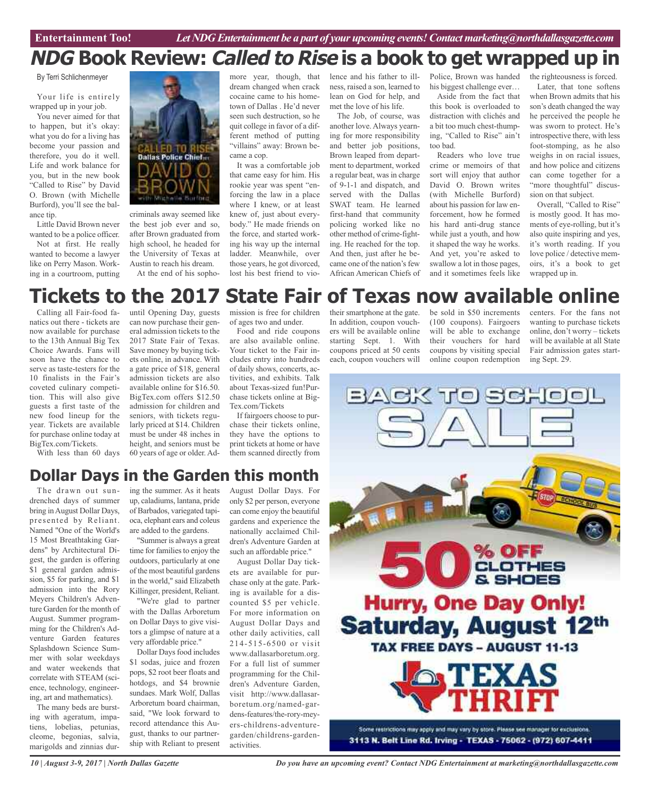# **NDG Book Review: Called to Rise is a book to get wrapped up in**

By Terri Schlichenmeyer

Your life is entirely wrapped up in your job.

You never aimed for that to happen, but it's okay: what you do for a living has become your passion and therefore, you do it well. Life and work balance for you, but in the new book "Called to Rise" by David O. Brown (with Michelle Burford), you'll see the balance tip.

Little David Brown never wanted to be a police officer.

Not at first. He really wanted to become a lawyer like on Perry Mason. Working in a courtroom, putting



criminals away seemed like the best job ever and so, after Brown graduated from high school, he headed for the University of Texas at Austin to reach his dream. At the end of his sopho-

more year, though, that dream changed when crack cocaine came to his hometown of Dallas . He'd never seen such destruction, so he quit college in favor of a different method of putting "villains" away: Brown became a cop.

It was a comfortable job that came easy for him. His rookie year was spent "enforcing the law in a place where I knew, or at least knew of, just about everybody." He made friends on the force, and started working his way up the internal ladder. Meanwhile, over those years, he got divorced, lost his best friend to violence and his father to illness, raised a son, learned to lean on God for help, and met the love of his life.

The Job, of course, was another love. Always yearning for more responsibility and better job positions, Brown leaped from department to department, worked a regular beat, was in charge of 9-1-1 and dispatch, and served with the Dallas SWAT team. He learned first-hand that community policing worked like no other method of crime-fighting. He reached for the top. And then, just after he became one of the nation's few African American Chiefs of

Police, Brown was handed the righteousness is forced. his biggest challenge ever…

Aside from the fact that this book is overloaded to distraction with clichés and a bit too much chest-thumping, "Called to Rise" ain't too bad.

Readers who love true crime or memoirs of that sort will enjoy that author David O. Brown writes (with Michelle Burford) about his passion for law enforcement, how he formed his hard anti-drug stance while just a youth, and how it shaped the way he works. And yet, you're asked to swallow a lot in those pages, and it sometimes feels like

Later, that tone softens when Brown admits that his son's death changed the way he perceived the people he was sworn to protect. He's introspective there, with less foot-stomping, as he also weighs in on racial issues, and how police and citizens can come together for a "more thoughtful" discussion on that subject.

Overall, "Called to Rise" is mostly good. It has moments of eye-rolling, but it's also quite inspiring and yes, it's worth reading. If you love police / detective memoirs, it's a book to get wrapped up in.

# **Tickets to the 2017 State Fair of Texas now available online**

Calling all Fair-food fanatics out there - tickets are now available for purchase to the 13th Annual Big Tex Choice Awards. Fans will soon have the chance to serve as taste-testers for the 10 finalists in the Fair's coveted culinary competition. This will also give guests a first taste of the new food lineup for the year. Tickets are available for purchase online today at BigTex.com/Tickets.

With less than 60 days

until Opening Day, guests can now purchase their general admission tickets to the 2017 State Fair of Texas. Save money by buying tickets online, in advance. With a gate price of \$18, general admission tickets are also available online for \$16.50. BigTex.com offers \$12.50 admission for children and seniors, with tickets regularly priced at \$14. Children must be under 48 inches in height, and seniors must be 60 years of age or older. Ad-

mission is free for children of ages two and under.

Food and ride coupons are also available online. Your ticket to the Fair includes entry into hundreds of daily shows, concerts, activities, and exhibits. Talk about Texas-sized fun!Purchase tickets online at Big-Tex.com/Tickets

If fairgoers choose to purchase their tickets online, they have the options to print tickets at home or have them scanned directly from

In addition, coupon vouchers will be available online starting Sept. 1. With coupons priced at 50 cents each, coupon vouchers will

their smartphone at the gate. be sold in \$50 increments (100 coupons). Fairgoers will be able to exchange their vouchers for hard coupons by visiting special online coupon redemption

centers. For the fans not wanting to purchase tickets online, don't worry – tickets will be available at all State Fair admission gates starting Sept. 29.



# **Dollar Days in the Garden this month**

The drawn out sundrenched days of summer bring inAugust Dollar Days, presented by Reliant. Named "One of the World's 15 Most Breathtaking Gardens" by Architectural Digest, the garden is offering \$1 general garden admission, \$5 for parking, and \$1 admission into the Rory Meyers Children's Adventure Garden for the month of August. Summer programming for the Children's Adventure Garden features Splashdown Science Summer with solar weekdays and water weekends that correlate with STEAM (science, technology, engineering, art and mathematics).

The many beds are bursting with ageratum, impatiens, lobelias, petunias, cleome, begonias, salvia, marigolds and zinnias dur-

ing the summer. As it heats up, caladiums, lantana, pride of Barbados, variegated tapioca, elephant ears and coleus are added to the gardens.

"Summer is always a great time for families to enjoy the outdoors, particularly at one of the most beautiful gardens in the world," said Elizabeth Killinger, president, Reliant.

"We're glad to partner with the Dallas Arboretum on Dollar Days to give visitors a glimpse of nature at a very affordable price."

Dollar Days food includes \$1 sodas, juice and frozen pops, \$2 root beer floats and hotdogs, and \$4 brownie sundaes. Mark Wolf, Dallas Arboretum board chairman, said, "We look forward to record attendance this August, thanks to our partnership with Reliant to present

August Dollar Days. For only \$2 per person, everyone can come enjoy the beautiful gardens and experience the nationally acclaimed Children's Adventure Garden at such an affordable price."

August Dollar Day tickets are available for purchase only at the gate. Parking is available for a discounted \$5 per vehicle. For more information on August Dollar Days and other daily activities, call 214-515-6500 or visit www.dallasarboretum.org. For a full list of summer programming for the Children's Adventure Garden, visit http://www.dallasarboretum.org/named-gardens-features/the-rory-meyers-childrens-adventuregarden/childrens-gardenactivities.

*Do you have an upcoming event? Contact NDG Entertainment at marketing@northdallasgazette.com*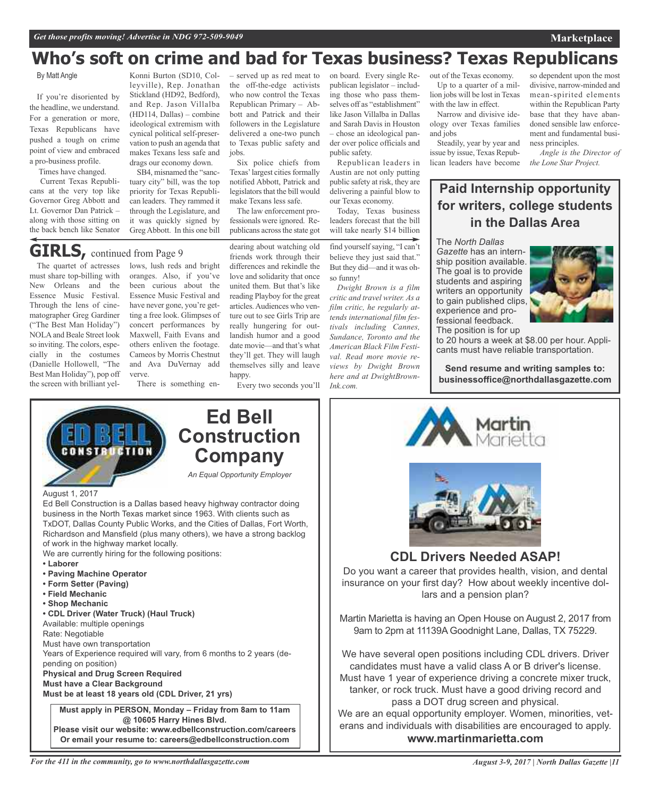# **Who's soft on crime and bad for Texas business? Texas Republicans**

### By Matt Angle

If you're disoriented by the headline, we understand. For a generation or more, Texas Republicans have pushed a tough on crime point of view and embraced a pro-business profile.

Times have changed.

Current Texas Republicans at the very top like Governor Greg Abbott and Lt. Governor Dan Patrick – along with those sitting on the back bench like Senator

Konni Burton (SD10, Colleyville), Rep. Jonathan Stickland (HD92, Bedford), and Rep. Jason Villalba (HD114, Dallas) – combine ideological extremism with cynical political self-preservation to push an agenda that makes Texans less safe and drags our economy down.

SB4, misnamed the "sanctuary city" bill, was the top priority for Texas Republican leaders. They rammed it through the Legislature, and it was quickly signed by GregAbbott. In this one bill

**GIRLS**, continued from Page 9

The quartet of actresses must share top-billing with New Orleans and the Essence Music Festival. Through the lens of cinematographer Greg Gardiner ("The Best Man Holiday") NOLAand Beale Street look so inviting. The colors, especially in the costumes (Danielle Hollowell, "The Best Man Holiday"), pop off the screen with brilliant yel-

lows, lush reds and bright oranges. Also, if you've been curious about the Essence Music Festival and have never gone, you're getting a free look. Glimpses of concert performances by Maxwell, Faith Evans and others enliven the footage. Cameos by Morris Chestnut and Ava DuVernay add verve.

There is something en-

– served up as red meat to the off-the-edge activists who now control the Texas Republican Primary – Abbott and Patrick and their followers in the Legislature delivered a one-two punch to Texas public safety and jobs.

Six police chiefs from Texas' largest cities formally notified Abbott, Patrick and legislators that the bill would make Texans less safe.

The law enforcement professionals were ignored. Republicans across the state got

dearing about watching old friends work through their differences and rekindle the love and solidarity that once united them. But that's like reading Playboy for the great articles.Audiences who venture out to see Girls Trip are really hungering for outlandish humor and a good date movie—and that's what they'll get. They will laugh themselves silly and leave happy.

Every two seconds you'll

on board. Every single Republican legislator – including those who pass themselves off as "establishment" like Jason Villalba in Dallas and Sarah Davis in Houston – chose an ideological pander over police officials and public safety.

Republican leaders in Austin are not only putting public safety at risk, they are delivering a painful blow to our Texas economy.

Today, Texas business leaders forecast that the bill will take nearly \$14 billion

find yourselfsaying, "I can't believe they just said that." But they did—and it was ohso funny!

*Dwight Brown is a film critic and travel writer. As a film critic, he regularly attends international film festivals including Cannes, Sundance, Toronto and the American Black Film Festival. Read more movie reviews by Dwight Brown here and at DwightBrown-Ink.com.*

out of the Texas economy. Up to a quarter of a million jobs will be lost in Texas with the law in effect.

Narrow and divisive ideology over Texas families and jobs

Steadily, year by year and issue by issue, Texas Republican leaders have become *the Lone Star Project.*

so dependent upon the most divisive, narrow-minded and mean-spirited elements within the Republican Party base that they have abandoned sensible law enforcement and fundamental business principles.

*Angle is the Director of*

### **Paid Internship opportunity for writers, college students in the Dallas Area**

The *North Dallas*

*Gazette* has an internship position available. The goal is to provide students and aspiring writers an opportunity to gain published clips,



cants must have reliable transportation.

**Send resume and writing samples to: businessoffice@northdallasgazette.com**



#### August 1, 2017

Ed Bell Construction is a Dallas based heavy highway contractor doing business in the North Texas market since 1963. With clients such as TxDOT, Dallas County Public Works, and the Cities of Dallas, Fort Worth, Richardson and Mansfield (plus many others), we have a strong backlog of work in the highway market locally.

We are currently hiring for the following positions:

- **• Laborer**
- **• Paving Machine Operator**
- **• Form Setter (Paving)**
- **• Field Mechanic**
- **• Shop Mechanic**

**• CDL Driver (Water Truck) (Haul Truck)**

Available: multiple openings Rate: Negotiable

Must have own transportation

Years of Experience required will vary, from 6 months to 2 years (depending on position) **Physical and Drug Screen Required**

**Must have a Clear Background**

**Must be at least 18 years old (CDL Driver, 21 yrs)**

**Must apply in PERSON, Monday – Friday from 8am to 11am @ 10605 Harry Hines Blvd. Please visit our website: www.edbellconstruction.com/careers Or email your resume to: careers@edbellconstruction.com**



# **Ed Bell Construction Company**

*August 3-9, 2017 | North Dallas Gazette |11*



**CDL Drivers Needed ASAP!** Do you want a career that provides health, vision, and dental insurance on your first day? How about weekly incentive dollars and a pension plan?

Martin Marietta is having an Open House on August 2, 2017 from 9am to 2pm at 11139A Goodnight Lane, Dallas, TX 75229.

We have several open positions including CDL drivers. Driver candidates must have a valid class A or B driver's license. Must have 1 year of experience driving a concrete mixer truck, tanker, or rock truck. Must have a good driving record and pass a DOT drug screen and physical. We are an equal opportunity employer. Women, minorities, veterans and individuals with disabilities are encouraged to apply. **www.martinmarietta.com**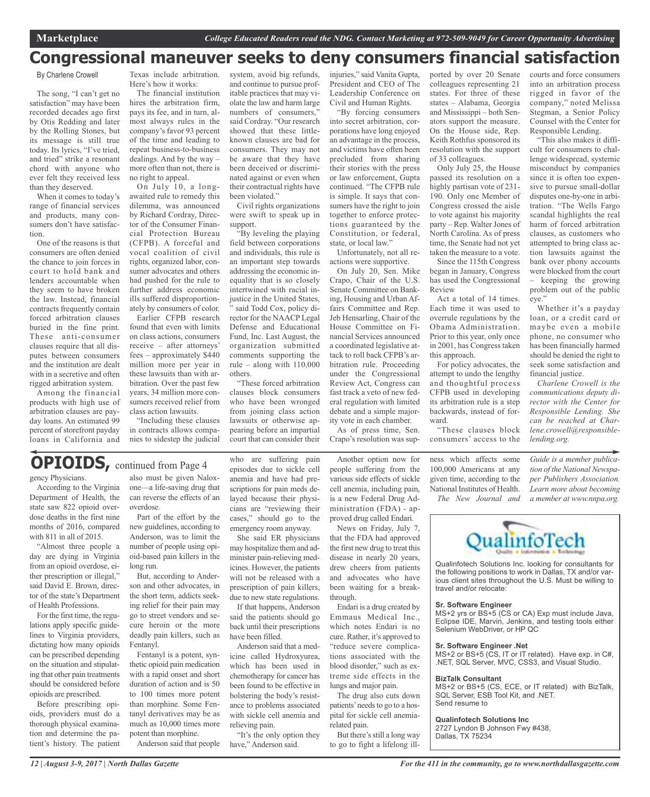## **Congressional maneuver seeks to deny consumers financial satisfaction**

By Charlene Crowell

The song, "I can't get no satisfaction" may have been recorded decades ago first by Otis Redding and later by the Rolling Stones, but its message is still true today. Its lyrics, "I've tried, and tried" strike a resonant chord with anyone who ever felt they received less than they deserved.

When it comes to today's range of financial services and products, many consumers don't have satisfaction.

One of the reasons is that consumers are often denied the chance to join forces in court to hold bank and lenders accountable when they seem to have broken the law. Instead, financial contracts frequently contain forced arbitration clauses buried in the fine print. These anti-consumer clauses require that all disputes between consumers and the institution are dealt with in a secretive and often rigged arbitration system.

Among the financial products with high use of arbitration clauses are payday loans. An estimated 99 percent of storefront payday loans in California and Texas include arbitration. Here's how it works:

The financial institution hires the arbitration firm, pays its fee, and in turn, almost always rules in the company's favor 93 percent of the time and leading to repeat business-to-business dealings. And by the way – more often than not, there is no right to appeal.

On July 10, a longawaited rule to remedy this dilemma, was announced by Richard Cordray, Director of the Consumer Financial Protection Bureau (CFPB). A forceful and vocal coalition of civil rights, organized labor, consumer advocates and others had pushed for the rule to further address economic ills suffered disproportionately by consumers of color.

Earlier CFPB research found that even with limits on class actions, consumers receive – after attorneys' fees – approximately \$440 million more per year in these lawsuits than with arbitration. Over the past few years, 34 million more consumers received relief from class action lawsuits.

"Including these clauses in contracts allows companies to sidestep the judicial system, avoid big refunds, and continue to pursue profitable practices that may violate the law and harm large numbers of consumers," said Cordray. "Our research showed that these littleknown clauses are bad for consumers. They may not be aware that they have been deceived or discriminated against or even when their contractual rights have been violated."

Civil rights organizations were swift to speak up in support.

"By leveling the playing field between corporations and individuals, this rule is an important step towards addressing the economic inequality that is so closely intertwined with racial injustice in the United States. said Todd Cox, policy director for the NAACP Legal Defense and Educational Fund, Inc. Last August, the organization submitted comments supporting the rule – along with 110,000 others.

"These forced arbitration clauses block consumers who have been wronged from joining class action lawsuits or otherwise anpearing before an impartial court that can consider their injuries," said Vanita Gupta, President and CEO of The Leadership Conference on Civil and Human Rights.

"By forcing consumers into secret arbitration, corporations have long enjoyed an advantage in the process, and victims have often been precluded from sharing their stories with the press or law enforcement, Gupta continued. "The CFPB rule is simple. It says that consumers have the right to join together to enforce protections guaranteed by the Constitution, or federal, state, or local law."

Unfortunately, not all reactions were supportive.

On July 20, Sen. Mike Crapo, Chair of the U.S. Senate Committee on Banking, Housing and Urban Affairs Committee and Rep. Jeb Hensarling, Chair of the House Committee on Financial Services announced a coordinated legislative attack to roll back CFPB's arbitration rule. Proceeding under the Congressional Review Act, Congress can fast track a veto of new federal regulation with limited debate and a simple majority vote in each chamber.

As of press time, Sen. Crapo's resolution was supported by over 20 Senate colleagues representing 21 states. For three of these states – Alabama, Georgia and Mississippi – both Senators support the measure. On the House side, Rep. Keith Rothfus sponsored its resolution with the support of 33 colleagues.

Only July 25, the House passed its resolution on a highly partisan vote of 231- 190. Only one Member of Congress crossed the aisle to vote against his majority party – Rep. Walter Jones of North Carolina. As of press time, the Senate had not yet taken the measure to a vote.

Since the 115th Congress began in January, Congress has used the Congressional Review

Act a total of 14 times. Each time it was used to overrule regulations by the Obama Administration. Prior to this year, only once in 2001, has Congress taken this approach.

For policy advocates, the attempt to undo the lengthy and thoughtful process CFPB used in developing its arbitration rule is a step backwards, instead of forward.

"These clauses block consumers' access to the

ness which affects some 100,000 Americans at any given time, according to the National Institutes of Health.

courts and force consumers into an arbitration process rigged in favor of the company," noted Melissa Stegman, a Senior Policy Counsel with the Center for Responsible Lending.

"This also makes it difficult for consumers to challenge widespread, systemic misconduct by companies since it is often too expensive to pursue small-dollar disputes one-by-one in arbitration. "The Wells Fargo scandal highlights the real harm of forced arbitration clauses, as customers who attempted to bring class action lawsuits against the bank over phony accounts were blocked from the court – keeping the growing

problem out of the public eye."

Whether it's a payday loan, or a credit card or maybe even a mobile phone, no consumer who has been financially harmed should be denied the right to seek some satisfaction and financial justice.

*Charlene Crowell is the communications deputy director with the Center for Responsible Lending. She can be reached at Charlene.crowell@responsiblelending.org.*

*Guide is a member publication of the National Newspaper Publishers Association. Learn more about becoming a member at www.nnpa.org.*



Qualinfotech Solutions Inc. looking for consultants for the following positions to work in Dallas, TX and/or various client sites throughout the U.S. Must be willing to travel and/or relocate:

#### **Sr. Software Engineer**

MS+2 yrs or BS+5 (CS or CA) Exp must include Java, Eclipse IDE, Marvin, Jenkins, and testing tools either Selenium WebDriver, or HP QC

#### **Sr. Software Engineer .Net**

MS+2 or BS+5 (CS, IT or IT related). Have exp. in C#, .NET, SQL Server, MVC, CSS3, and Visual Studio.

#### **BizTalk Consultant**

MS+2 or BS+5 (CS, ECE, or IT related) with BizTalk, SQL Server, ESB Tool Kit, and .NET. Send resume to

#### **Qualinfotech Solutions Inc**

2727 Lyndon B Johnson Fwy #438,

Dallas, TX 75234

# **OPIOIDS,** continued from Page <sup>4</sup>

gency Physicians.

According to the Virginia Department of Health, the state saw 822 opioid overdose deaths in the first nine months of 2016, compared with 811 in all of 2015.

"Almost three people a day are dying in Virginia from an opioid overdose, either prescription or illegal," said David E. Brown, director of the state's Department of Health Professions.

For the first time, the regulations apply specific guidelines to Virginia providers, dictating how many opioids can be prescribed depending on the situation and stipulating that other pain treatments should be considered before opioids are prescribed.

Before prescribing opioids, providers must do a thorough physical examination and determine the patient's history. The patient

also must be given Naloxone—a life-saving drug that can reverse the effects of an

overdose. Part of the effort by the new guidelines, according to Anderson, was to limit the number of people using opioid-based pain killers in the long run.

But, according to Anderson and other advocates, in the short term, addicts seeking relief for their pain may go to street vendors and secure heroin or the more deadly pain killers, such as Fentanyl.

Fentanyl is a potent, synthetic opioid pain medication with a rapid onset and short duration of action and is 50 to 100 times more potent than morphine. Some Fentanyl derivatives may be as much as 10,000 times more potent than morphine.

Anderson said that people

who are suffering pain episodes due to sickle cell anemia and have had prescriptions for pain meds delayed because their physicians are "reviewing their cases," should go to the emergency room anyway.

She said ER physicians may hospitalize them and administer pain-relieving medicines. However, the patients will not be released with a prescription of pain killers, due to new state regulations.

If that happens, Anderson said the patients should go back until their prescriptions have been filled.

Anderson said that a medicine called Hydroxyurea, which has been used in chemotherapy for cancer has been found to be effective in bolstering the body's resistance to problems associated with sickle cell anemia and relieving pain.

"It's the only option they have," Anderson said.

people suffering from the various side effects of sickle cell anemia, including pain, is a new Federal Drug Administration (FDA) - approved drug called Endari.

Another option now for

News on Friday, July 7, that the FDA had approved the first new drug to treat this disease in nearly 20 years, drew cheers from patients and advocates who have been waiting for a breakthrough.

Emmaus Medical Inc., which notes Endari is no cure. Rather, it's approved to "reduce severe complications associated with the blood disorder," such as extreme side effects in the lungs and major pain.

The drug also cuts down patients' needs to go to a hospital for sickle cell anemiarelated pain.

But there's still a long way to go to fight a lifelong ill-

*The New Journal and*

Endari is a drug created by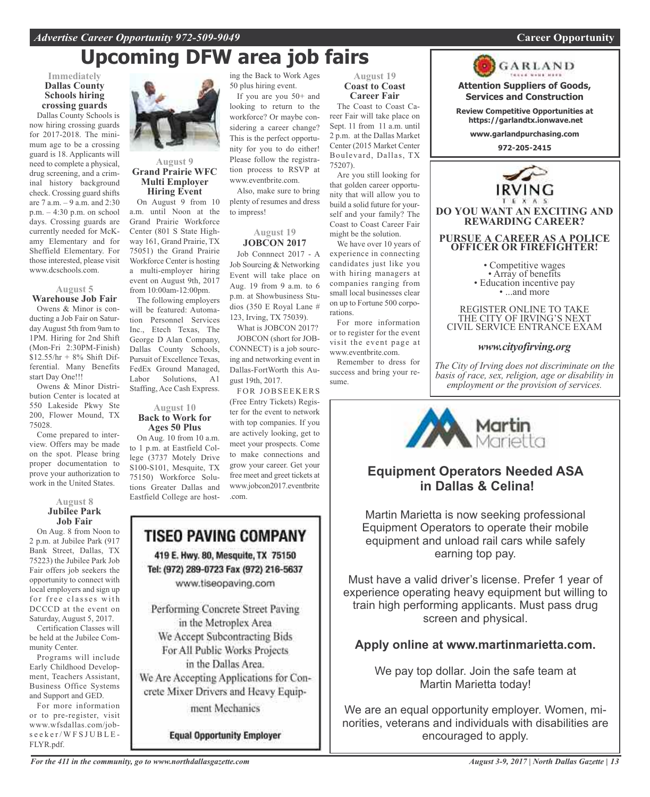### *Advertise Career Opportunity 972-509-9049* **Career Opportunity**

# **Upcoming DFW area job fairs**

### **Immediately Dallas County Schools hiring crossing guards**

Dallas County Schools is now hiring crossing guards for 2017-2018. The minimum age to be a crossing guard is 18. Applicants will need to complete a physical, drug screening, and a criminal history background check. Crossing guard shifts are 7 a.m. – 9 a.m. and 2:30 p.m. – 4:30 p.m. on school days. Crossing guards are currently needed for McKamy Elementary and for Sheffield Elementary. For those interested, please visit www.dcschools.com.

### **August 5**

**Warehouse Job Fair** Owens & Minor is conducting a Job Fair on Saturday August 5th from 9am to 1PM. Hiring for 2nd Shift (Mon-Fri 2:30PM-Finish)  $$12.55/hr + 8% Shift Dif$ ferential. Many Benefits start Day One!!!

Owens & Minor Distribution Center is located at 550 Lakeside Pkwy Ste 200, Flower Mound, TX 75028.

Come prepared to interview. Offers may be made on the spot. Please bring proper documentation to prove your authorization to work in the United States.

### **August 8 Jubilee Park Job Fair**

On Aug. 8 from Noon to 2 p.m. at Jubilee Park (917 Bank Street, Dallas, TX 75223) the Jubilee Park Job Fair offers job seekers the opportunity to connect with local employers and sign up for free classes with DCCCD at the event on Saturday, August 5, 2017.

Certification Classes will be held at the Jubilee Community Center.

Programs will include Early Childhood Development, Teachers Assistant, Business Office Systems and Support and GED.

For more information or to pre-register, visit www.wfsdallas.com/jobs e e k e r / W F S J U B L E -FLYR.pdf.



### **August 9 Grand Prairie WFC Multi Employer Hiring Event**

On August 9 from 10 a.m. until Noon at the Grand Prairie Workforce Center (801 S State Highway 161, Grand Prairie, TX 75051) the Grand Prairie Workforce Center is hosting a multi-employer hiring event on August 9th, 2017 from 10:00am-12:00pm.

The following employers will be featured: Automation Personnel Services Inc., Etech Texas, The George D Alan Company, Dallas County Schools, Pursuit of Excellence Texas, FedEx Ground Managed, Labor Solutions, A1 Staffing, Ace Cash Express.

### **August 10 Back to Work for Ages 50 Plus**

On Aug. 10 from 10 a.m. to 1 p.m. at Eastfield College (3737 Motely Drive S100-S101, Mesquite, TX 75150) Workforce Solutions Greater Dallas and Eastfield College are hosting the Back to Work Ages 50 plus hiring event.

If you are you 50+ and looking to return to the workforce? Or maybe considering a career change? This is the perfect opportunity for you to do either! Please follow the registration process to RSVP at www.eventbrite.com.

Also, make sure to bring plenty of resumes and dress to impress!

### **August 19 JOBCON 2017**

Job Connnect 2017 - A Job Sourcing & Networking Event will take place on Aug. 19 from 9 a.m. to 6 p.m. at Showbusiness Studios (350 E Royal Lane # 123, Irving, TX 75039).

What is JOBCON 2017? JOBCON (short for JOB-CONNECT) is a job sourcing and networking event in Dallas-FortWorth this August 19th, 2017.

FOR JOBSEEKERS (Free Entry Tickets) Register for the event to network with top companies. If you are actively looking, get to meet your prospects. Come to make connections and grow your career. Get your free meet and greet tickets at www.jobcon2017.eventbrite .com.

### TISEO PAVING COMPANY 419 E. Hwy. 80, Mesquite, TX 75150

Tel: (972) 289-0723 Fax (972) 216-5637 www.tiseopaving.com

Performing Concrete Street Paving in the Metroplex Area We Accept Subcontracting Bids For All Public Works Projects in the Dallas Area. We Are Accepting Applications for Concrete Mixer Drivers and Heavy Equip-

ment Mechanics

**Equal Opportunity Employer** 

### **August 19 Coast to Coast Career Fair**

The Coast to Coast Career Fair will take place on Sept. 11 from 11 a.m. until 2 p.m. at the Dallas Market Center (2015 Market Center Boulevard, Dallas, TX 75207).

Are you still looking for that golden career opportunity that will allow you to build a solid future for yourself and your family? The Coast to Coast Career Fair might be the solution.

We have over 10 years of experience in connecting candidates just like you with hiring managers at companies ranging from small local businesses clear on up to Fortune 500 corporations.

For more information or to register for the event visit the event page at www.eventbrite.com.

Remember to dress for success and bring your resume.



**Attention Suppliers of Goods, Services and Construction**

**Review Competitive Opportunities at https://garlandtx.ionwave.net**

**www.garlandpurchasing.com**

**972-205-2415**



**DO YOU WANT AN EXCITING AND REWARDING CAREER?**

### **PURSUE A CAREER AS A POLICE OFFICER OR FIREFIGHTER!**

• Competitive wages<br>• Array of benefits<br>• Education incentive pay<br>• ...and more

REGISTER ONLINE TO TAKE THE CITY OF IRVING'S NEXT CIVIL SERVICE ENTRANCE EXAM

### *www.cityofirving.org*

*The City of Irving does not discriminate on the basis of race, sex, religion, age or disability in employment or the provision of services.*



### **Equipment Operators Needed ASA in Dallas & Celina!**

Martin Marietta is now seeking professional Equipment Operators to operate their mobile equipment and unload rail cars while safely earning top pay.

Must have a valid driver's license. Prefer 1 year of experience operating heavy equipment but willing to train high performing applicants. Must pass drug screen and physical.

### **Apply online at www.martinmarietta.com.**

We pay top dollar. Join the safe team at Martin Marietta today!

We are an equal opportunity employer. Women, minorities, veterans and individuals with disabilities are encouraged to apply.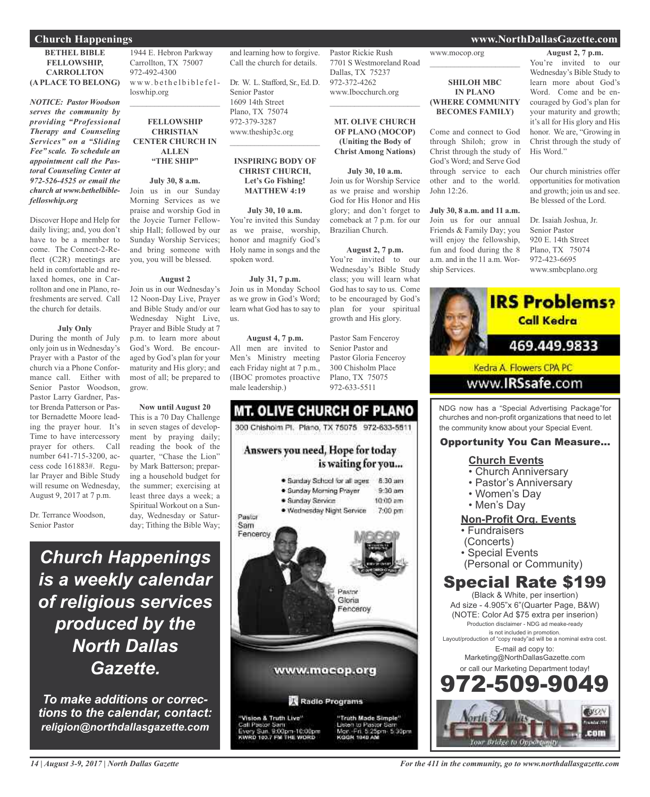### **Church Happenings www.NorthDallasGazette.com**

### **BETHEL BIBLE FELLOWSHIP, CARROLLTON (A PLACE TO BELONG)**

*NOTICE: Pastor Woodson serves the community by providing "Professional Therapy and Counseling Services" on a "Sliding Fee" scale. To schedule an appointment call the Pastoral Counseling Center at 972-526-4525 or email the church at www.bethelbiblefelloswhip.org*

Discover Hope and Help for daily living; and, you don't have to be a member to come. The Connect-2-Reflect (C2R) meetings are held in comfortable and relaxed homes, one in Carrollton and one in Plano, refreshments are served. Call the church for details.

### **July Only**

During the month of July only join us in Wednesday's Prayer with a Pastor of the church via a Phone Conformance call. Either with Senior Pastor Woodson, Pastor Larry Gardner, Pastor Brenda Patterson or Pastor Bernadette Moore leading the prayer hour. It's Time to have intercessory prayer for others. Call number 641-715-3200, access code 161883#. Regular Prayer and Bible Study will resume on Wednesday, August 9, 2017 at 7 p.m.

Dr. Terrance Woodson, Senior Pastor

1944 E. Hebron Parkway Carrollton, TX 75007 972-492-4300 www.bethelbiblefelloswhip.org

### **FELLOWSHIP CHRISTIAN CENTER CHURCH IN ALLEN "THE SHIP"**

 $\mathcal{L}_\text{max}$  , which is a set of the set of the set of the set of the set of the set of the set of the set of the set of the set of the set of the set of the set of the set of the set of the set of the set of the set of

### **July 30, 8 a.m.**

Join us in our Sunday Morning Services as we praise and worship God in the Joycie Turner Fellowship Hall; followed by our Sunday Worship Services; and bring someone with you, you will be blessed.

### **August 2**

Join us in our Wednesday's 12 Noon-Day Live, Prayer and Bible Study and/or our Wednesday Night Live, Prayer and Bible Study at 7 p.m. to learn more about God's Word. Be encouraged by God's plan for your maturity and His glory; and most of all; be prepared to grow.

**Now until August 20** This is a 70 Day Challenge in seven stages of development by praying daily; reading the book of the quarter, "Chase the Lion" by Mark Batterson; preparing a household budget for the summer; exercising at least three days a week; a Spiritual Workout on a Sunday, Wednesday or Saturday; Tithing the Bible Way;

and learning how to forgive. Call the church for details. Dr. W. L. Stafford, Sr., Ed. D.

Senior Pastor 1609 14th Street Plano, TX 75074 972-379-3287 www.theship3c.org  $\overline{\phantom{a}}$  , which is a set of the set of the set of the set of the set of the set of the set of the set of the set of the set of the set of the set of the set of the set of the set of the set of the set of the set of th

### **INSPIRING BODY OF CHRIST CHURCH, Let's Go Fishing! MATTHEW 4:19**

### **July 30, 10 a.m.**

You're invited this Sunday as we praise, worship, honor and magnify God's Holy name in songs and the spoken word.

### **July 31, 7 p.m.**

Join us in Monday School as we grow in God's Word; learn what God has to say to us.

### **August 4, 7 p.m.**

All men are invited to Men's Ministry meeting each Friday night at 7 p.m., (IBOC promotes proactive male leadership.)

## **MT. OLIVE CHURCH OF PLANO** 300 Chishoim Pt. Plano, TX 75075 972-633-5511 Answers you need, Hope for today

is waiting for you...



### www.mocop.org  $\overline{\phantom{a}}$  , and the set of the set of the set of the set of the set of the set of the set of the set of the set of the set of the set of the set of the set of the set of the set of the set of the set of the set of the s

### **SHILOH MBC IN PLANO (WHERE COMMUNITY BECOMES FAMILY)**

Come and connect to God through Shiloh; grow in Christ through the study of God's Word; and Serve God through service to each other and to the world. John 12:26.

### **July 30, 8 a.m. and 11 a.m.**

Join us for our annual Friends & Family Day; you will enjoy the fellowship, fun and food during the 8 a.m. and in the 11 a.m. Worship Services.

### **August 2, 7 p.m.**

You're invited to our Wednesday's Bible Study to learn more about God's Word. Come and be encouraged by God's plan for your maturity and growth; it's all for His glory and His honor. We are, "Growing in Christ through the study of His Word."

Our church ministries offer opportunities for motivation and growth; join us and see. Be blessed of the Lord.

Dr. Isaiah Joshua, Jr. Senior Pastor 920 E. 14th Street Plano, TX 75074 972-423-6695 www.smbcplano.org



NDG now has a "Special Advertising Package"for churches and non-profit organizations that need to let the community know about your Special Event.

### Opportunity You Can Measure...

### **Church Events**

- Church Anniversary
- Pastor's Anniversary
- Women's Day
- Men's Day

### **Non-Profit Org. Events**

- Fundraisers
- (Concerts)
- Special Events
- (Personal or Community)

## Special Rate \$199

(Black & White, per insertion) Ad size - 4.905"x 6"(Quarter Page, B&W) (NOTE: Color Ad \$75 extra per inserion) Production disclaimer - NDG ad meake-ready is not included in promotion. Layout/production of "copy ready"ad will be a nominal extra cost. E-mail ad copy to: Marketing@NorthDallasGazette.com or call our Marketing Department today! 2-509-9



*Church Happenings*

*is a weekly calendar*

*of religious services*

*produced by the*

*North Dallas*

*Gazette.*

*To make additions or corrections to the calendar, contact: religion@northdallasgazette.com*

 $\overline{\phantom{a}}$  , and the set of the set of the set of the set of the set of the set of the set of the set of the set of the set of the set of the set of the set of the set of the set of the set of the set of the set of the s

**MT. OLIVE CHURCH OF PLANO (MOCOP) (Uniting the Body of Christ Among Nations)**

Pastor Rickie Rush

Dallas, TX 75237 972-372-4262 www.Ibocchurch.org

7701 S Westmoreland Road

**July 30, 10 a.m.** Join us for Worship Service as we praise and worship God for His Honor and His glory; and don't forget to comeback at 7 p.m. for our Brazilian Church.

**August 2, 7 p.m.** You're invited to our Wednesday's Bible Study class; you will learn what God has to say to us. Come to be encouraged by God's plan for your spiritual growth and His glory.

Pastor Sam Fenceroy Senior Pastor and Pastor Gloria Fenceroy 300 Chisholm Place Plano, TX 75075

972-633-5511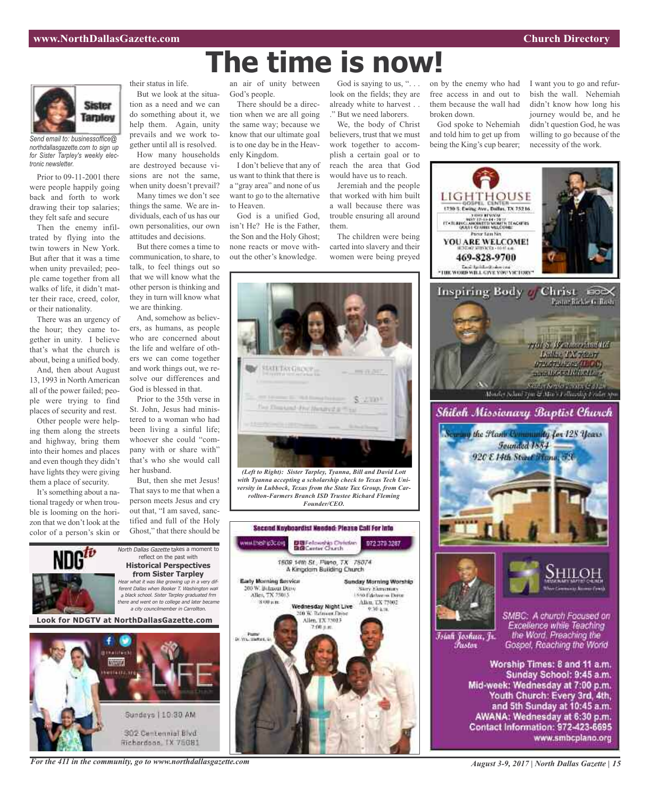

*Send email to: businessoffice@ northdallasgazette.com to sign up for Sister Tarpley's weekly electronic newsletter.*

Prior to 09-11-2001 there were people happily going back and forth to work drawing their top salaries; they felt safe and secure

Then the enemy infiltrated by flying into the twin towers in New York. But after that it was a time when unity prevailed; people came together from all walks of life, it didn't matter their race, creed, color, or their nationality.

There was an urgency of the hour; they came together in unity. I believe that's what the church is about, being a unified body.

And, then about August 13, 1993 in North American all of the power failed; people were trying to find places of security and rest.

Other people were helping them along the streets and highway, bring them into their homes and places and even though they didn't have lights they were giving them a place of security.

It's something about a national tragedy or when trouble is looming on the horizon that we don't look at the color of a person's skin or

their status in life. But we look at the situa-

tion as a need and we can do something about it, we help them. Again, unity prevails and we work together until all is resolved. How many households

are destroyed because visions are not the same, when unity doesn't prevail?

Many times we don't see things the same. We are individuals, each of us has our own personalities, our own attitudes and decisions.

But there comes a time to communication, to share, to talk, to feel things out so that we will know what the other person is thinking and they in turn will know what we are thinking.

And, somehow as believers, as humans, as people who are concerned about the life and welfare of others we can come together and work things out, we resolve our differences and God is blessed in that.

Prior to the 35th verse in St. John, Jesus had ministered to a woman who had been living a sinful life; whoever she could "company with or share with" that's who she would call her husband.

But, then she met Jesus! That says to me that when a person meets Jesus and cry out that, "I am saved, sanctified and full of the Holy Ghost," that there should be



Hichardson, IX 75081

an air of unity between God's people.

**The time is now!**

There should be a direction when we are all going the same way; because we know that our ultimate goal is to one day be in the Heavenly Kingdom.

I don't believe that any of us want to think that there is a "gray area" and none of us want to go to the alternative to Heaven.

God is a unified God, isn't He? He is the Father, the Son and the Holy Ghost; none reacts or move without the other's knowledge.

God is saying to us, ". . . look on the fields; they are already white to harvest . . ." But we need laborers.

We, the body of Christ believers, trust that we must work together to accomplish a certain goal or to reach the area that God would have us to reach.

Jeremiah and the people that worked with him built a wall because there was trouble ensuring all around them.

The children were being carted into slavery and their women were being preyed



*with Tyanna accepting a scholarship check to Texas Tech University in Lubbock, Texas from the State Tax Group, from Carrollton-Farmers Branch ISD Trustee Richard Fleming Founder/CEO.*





God spoke to Nehemiah and told him to get up from being the King's cup bearer; I want you to go and refurbish the wall. Nehemiah didn't know how long his journey would be, and he didn't question God, he was willing to go because of the necessity of the work.